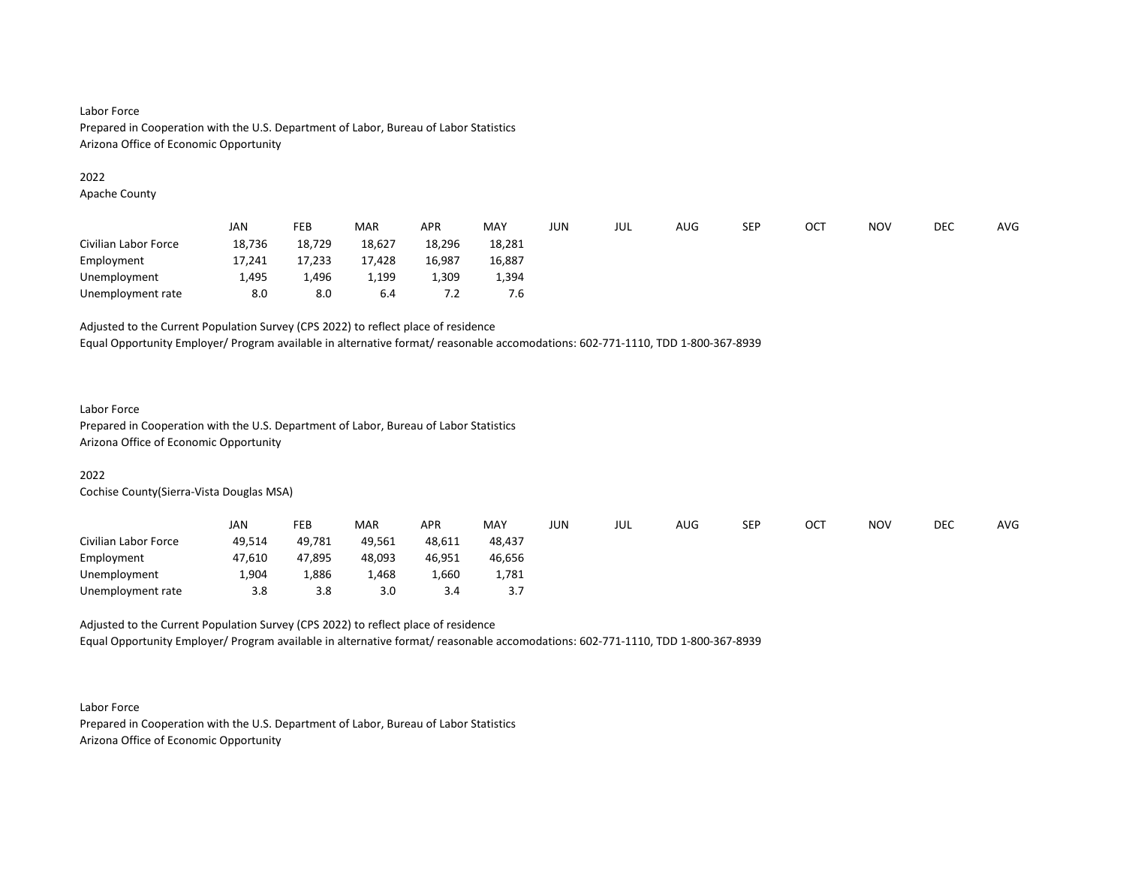## Labor Force Prepared in Cooperation with the U.S. Department of Labor, Bureau of Labor Statistics Arizona Office of Economic Opportunity

#### 2022

Apache County

|                      | <b>JAN</b> | FEB    | <b>MAR</b> | <b>APR</b> | MAY    | JUN | JUL | AUG | <b>SEP</b> | OC1 | <b>NOV</b> | DEC | <b>AVG</b> |
|----------------------|------------|--------|------------|------------|--------|-----|-----|-----|------------|-----|------------|-----|------------|
| Civilian Labor Force | 18,736     | 18.729 | 18,627     | 18,296     | 18,281 |     |     |     |            |     |            |     |            |
| Employment           | 17,241     | 17,233 | 17,428     | 16,987     | 16,887 |     |     |     |            |     |            |     |            |
| Unemployment         | 1,495      | 1,496  | 1.199      | 309ء       | 1,394  |     |     |     |            |     |            |     |            |
| Unemployment rate    | 8.0        | 8.0    | 6.4        | 7.2        | 7.6    |     |     |     |            |     |            |     |            |

## Adjusted to the Current Population Survey (CPS 2022) to reflect place of residence

Equal Opportunity Employer/ Program available in alternative format/ reasonable accomodations: 602-771-1110, TDD 1-800-367-8939

#### Labor Force

Prepared in Cooperation with the U.S. Department of Labor, Bureau of Labor Statistics Arizona Office of Economic Opportunity

### 2022

Cochise County(Sierra-Vista Douglas MSA)

|                      | <b>JAN</b> | FEB    | <b>MAR</b> | <b>APR</b> | <b>MAY</b> | JUN | JUL | AUG | SEP | OCT | <b>NOV</b> | DEC | AVG |
|----------------------|------------|--------|------------|------------|------------|-----|-----|-----|-----|-----|------------|-----|-----|
| Civilian Labor Force | 49,514     | 49.781 | 49,561     | 48,611     | 48.437     |     |     |     |     |     |            |     |     |
| Employment           | 47,610     | 47,895 | 48,093     | 46.951     | 46,656     |     |     |     |     |     |            |     |     |
| Unemployment         | 4,904      | 1,886  | 1,468      | 1,660      | 1,781      |     |     |     |     |     |            |     |     |
| Unemployment rate    | 3.8        | 3.8    | 3.0        | 3.4        | 3.7        |     |     |     |     |     |            |     |     |

Adjusted to the Current Population Survey (CPS 2022) to reflect place of residence Equal Opportunity Employer/ Program available in alternative format/ reasonable accomodations: 602-771-1110, TDD 1-800-367-8939

Labor Force Prepared in Cooperation with the U.S. Department of Labor, Bureau of Labor Statistics Arizona Office of Economic Opportunity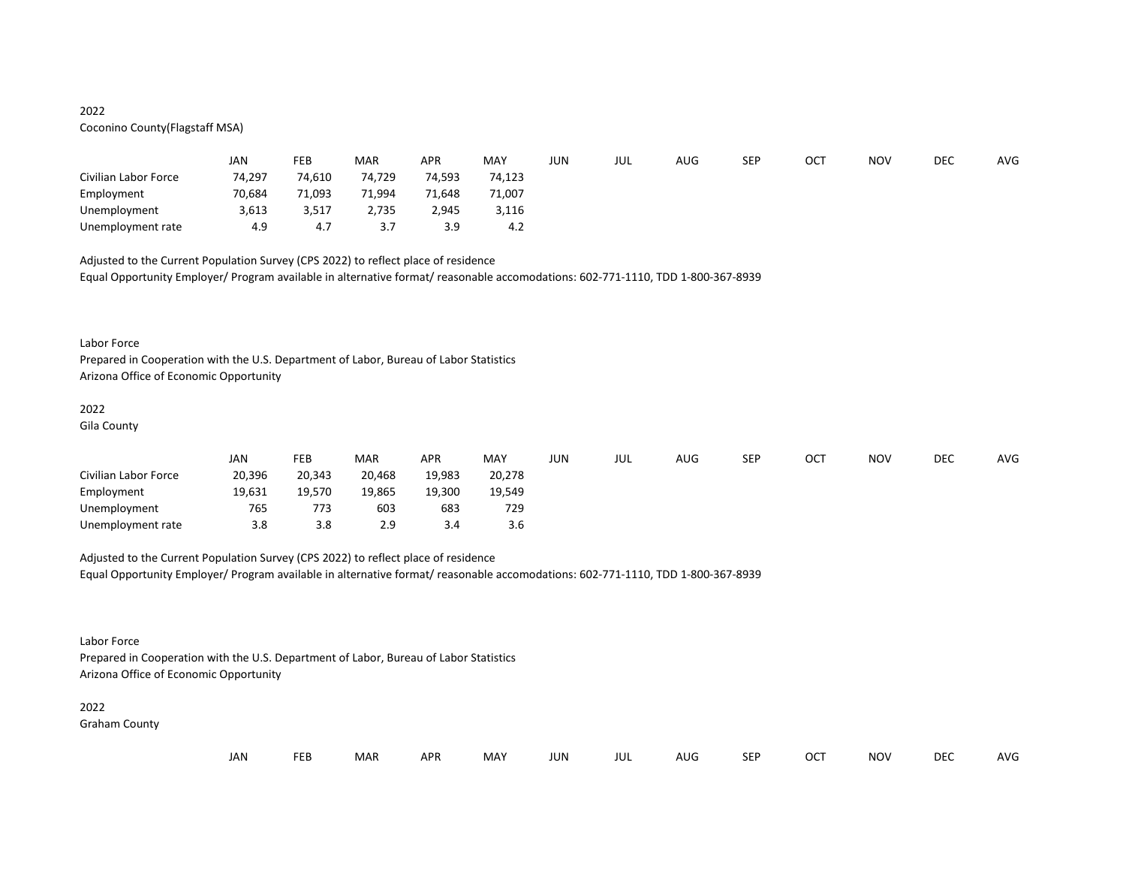## 2022

## Coconino County(Flagstaff MSA)

|                      | <b>JAN</b> | FEB    | MAR       | <b>APR</b> | MAY    | JUN | JUL | AUG | <b>SEP</b> | OCT | <b>NOV</b> | DEC | <b>AVG</b> |
|----------------------|------------|--------|-----------|------------|--------|-----|-----|-----|------------|-----|------------|-----|------------|
| Civilian Labor Force | 74,297     | 74,610 | 74,729    | 74,593     | 74,123 |     |     |     |            |     |            |     |            |
| Employment           | 70,684     | 71,093 | 71,994    | 71,648     | 71,007 |     |     |     |            |     |            |     |            |
| Unemployment         | 3,613      | 3,517  | 2,735     | 2,945      | 3,116  |     |     |     |            |     |            |     |            |
| Unemployment rate    | 4.9        | 4.7    | 37<br>J., | 3.9        | 4.2    |     |     |     |            |     |            |     |            |

Adjusted to the Current Population Survey (CPS 2022) to reflect place of residence Equal Opportunity Employer/ Program available in alternative format/ reasonable accomodations: 602-771-1110, TDD 1-800-367-8939

#### Labor Force

Prepared in Cooperation with the U.S. Department of Labor, Bureau of Labor Statistics Arizona Office of Economic Opportunity

## 2022

Gila County

|                      | JAN    | <b>FEB</b> | <b>MAR</b> | <b>APR</b> | MAY    | JUN | JUL | AUG | <b>SEP</b> | OCT | NOV | <b>DEC</b> | <b>AVG</b> |
|----------------------|--------|------------|------------|------------|--------|-----|-----|-----|------------|-----|-----|------------|------------|
| Civilian Labor Force | 20,396 | 20,343     | 20.468     | 19.983     | 20.278 |     |     |     |            |     |     |            |            |
| Employment           | 19,631 | 19.570     | 19,865     | 19.300     | 19.549 |     |     |     |            |     |     |            |            |
| Unemployment         | 765    | 773        | 603        | 683        | 729    |     |     |     |            |     |     |            |            |
| Unemployment rate    | 3.8    | 3.8        | 2.9        | 3.4        | 3.6    |     |     |     |            |     |     |            |            |

Adjusted to the Current Population Survey (CPS 2022) to reflect place of residence Equal Opportunity Employer/ Program available in alternative format/ reasonable accomodations: 602-771-1110, TDD 1-800-367-8939

Labor Force

Prepared in Cooperation with the U.S. Department of Labor, Bureau of Labor Statistics Arizona Office of Economic Opportunity

## 2022

Graham County

| JAN<br><b>FEB</b><br><b>MAR</b><br>MAY<br>OCT<br><b>NOV</b><br><b>APR</b><br><b>JUN</b><br><b>SEP</b><br>AUG<br>JUL |  |  |  |  |  |  |  |  |  |  |  |  | <b>DEC</b> | AVG |
|---------------------------------------------------------------------------------------------------------------------|--|--|--|--|--|--|--|--|--|--|--|--|------------|-----|
|---------------------------------------------------------------------------------------------------------------------|--|--|--|--|--|--|--|--|--|--|--|--|------------|-----|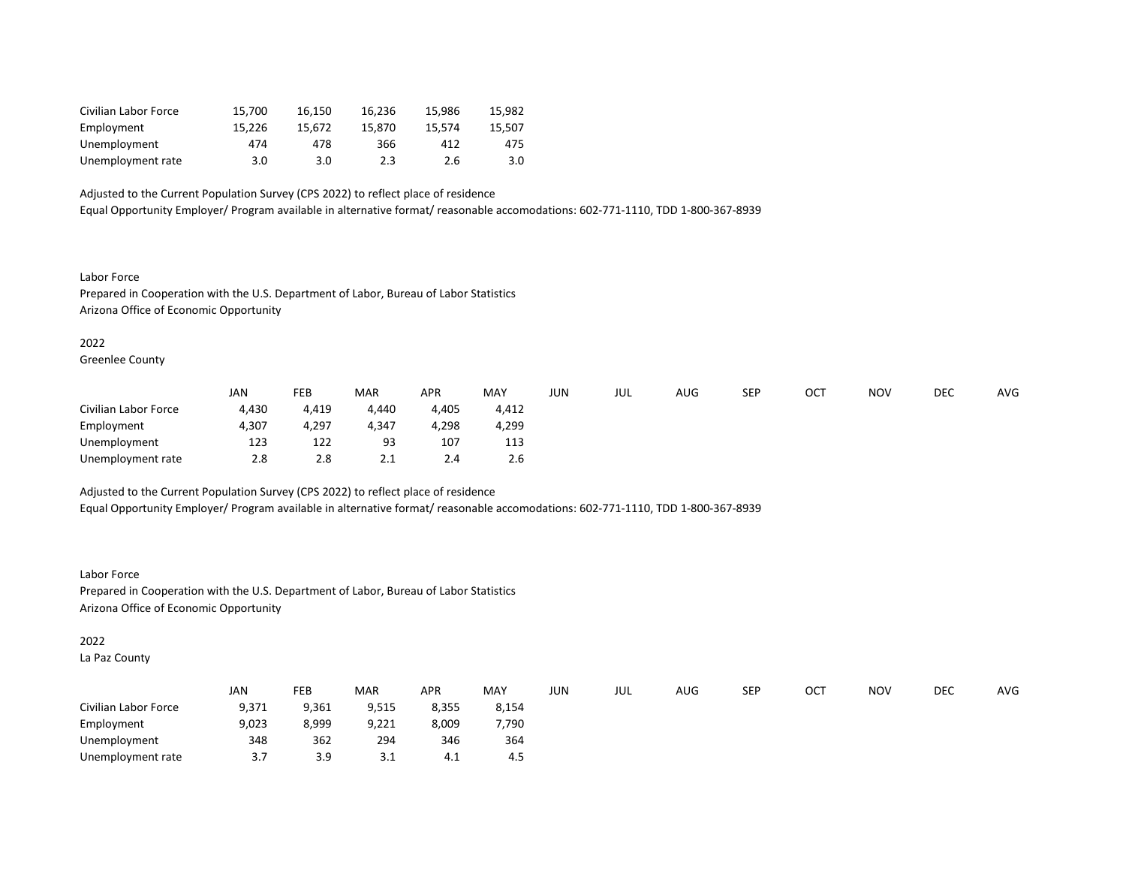| Civilian Labor Force | 15.700 | 16.150 | 16.236 | 15.986 | 15.982 |
|----------------------|--------|--------|--------|--------|--------|
| Employment           | 15.226 | 15.672 | 15.870 | 15.574 | 15.507 |
| Unemployment         | 474    | 478    | 366    | 412    | 475    |
| Unemployment rate    | 3.0    | 3.0    | 2.3    | 2.6    | 3.0    |

Equal Opportunity Employer/ Program available in alternative format/ reasonable accomodations: 602-771-1110, TDD 1-800-367-8939

Labor Force Prepared in Cooperation with the U.S. Department of Labor, Bureau of Labor Statistics Arizona Office of Economic Opportunity

2022

Greenlee County

|                      | <b>JAN</b> | FEB   | <b>MAR</b> | <b>APR</b> | <b>MAY</b> | JUN | JUL | AUG | <b>SEP</b> | ОСТ | <b>NOV</b> | <b>DEC</b> | <b>AVG</b> |
|----------------------|------------|-------|------------|------------|------------|-----|-----|-----|------------|-----|------------|------------|------------|
| Civilian Labor Force | 4.430      | 4,419 | 4.440      | 4.405      | 4,412      |     |     |     |            |     |            |            |            |
| Employment           | 4,307      | 4,297 | 4,347      | 4.298      | 4,299      |     |     |     |            |     |            |            |            |
| Unemployment         | 123        | 122   | 93         | 107        | 113        |     |     |     |            |     |            |            |            |
| Unemployment rate    | 2.8        | 2.8   | 2.1        | 2.4        | 2.6        |     |     |     |            |     |            |            |            |

Adjusted to the Current Population Survey (CPS 2022) to reflect place of residence Equal Opportunity Employer/ Program available in alternative format/ reasonable accomodations: 602-771-1110, TDD 1-800-367-8939

Labor Force Prepared in Cooperation with the U.S. Department of Labor, Bureau of Labor Statistics Arizona Office of Economic Opportunity

2022

La Paz County

|                      | JAN       | FEB   | <b>MAR</b> | <b>APR</b> | MAY   | JUN | JUL | AUG | SEP | ОСТ | <b>NOV</b> | DEC | AVG |
|----------------------|-----------|-------|------------|------------|-------|-----|-----|-----|-----|-----|------------|-----|-----|
| Civilian Labor Force | 9,371     | 9,361 | 9,515      | 8,355      | 8,154 |     |     |     |     |     |            |     |     |
| Employment           | 9,023     | 8,999 | 9,221      | 8,009      | 7,790 |     |     |     |     |     |            |     |     |
| Unemployment         | 348       | 362   | 294        | 346        | 364   |     |     |     |     |     |            |     |     |
| Unemployment rate    | 37<br>J., | 3.9   | ⊥. ت       | 4.1        | 4.5   |     |     |     |     |     |            |     |     |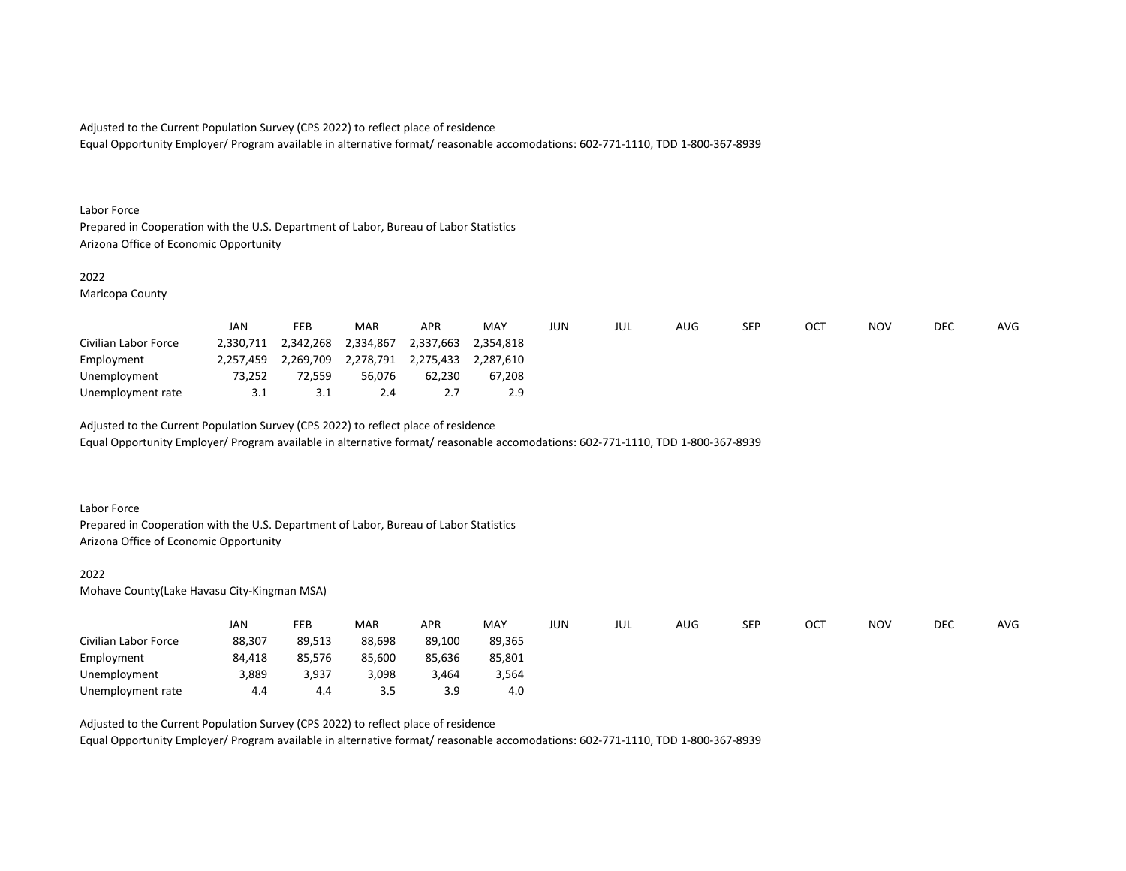Equal Opportunity Employer/ Program available in alternative format/ reasonable accomodations: 602-771-1110, TDD 1-800-367-8939

#### Labor Force

Prepared in Cooperation with the U.S. Department of Labor, Bureau of Labor Statistics Arizona Office of Economic Opportunity

#### 2022

Maricopa County

|                      | JAN       | <b>FEB</b> | <b>MAR</b> | <b>APR</b> | MAY       | JUN | jul | AUG | SEP | OC1 | NOV | <b>DEC</b> | <b>AVG</b> |
|----------------------|-----------|------------|------------|------------|-----------|-----|-----|-----|-----|-----|-----|------------|------------|
| Civilian Labor Force | 2,330,711 | 2,342,268  | 2,334,867  | 2,337,663  | 2.354.818 |     |     |     |     |     |     |            |            |
| Employment           | 2,257,459 | 2.269.709  | 2,278,791  | 2,275,433  | 2.287.610 |     |     |     |     |     |     |            |            |
| Unemployment         | 73,252    | 72.559     | 56.076     | 62.230     | 67.208    |     |     |     |     |     |     |            |            |
| Unemployment rate    | 3.1       | 3.1        | 2.4        |            | 2.9       |     |     |     |     |     |     |            |            |

Adjusted to the Current Population Survey (CPS 2022) to reflect place of residence Equal Opportunity Employer/ Program available in alternative format/ reasonable accomodations: 602-771-1110, TDD 1-800-367-8939

#### Labor Force

Prepared in Cooperation with the U.S. Department of Labor, Bureau of Labor Statistics Arizona Office of Economic Opportunity

#### 2022

Mohave County(Lake Havasu City-Kingman MSA)

|                      | JAN    | FEB    | <b>MAR</b> | <b>APR</b> | MAY    | JUN | JUL | AUG | <b>SEP</b> | OC1 | <b>NOV</b> | <b>DEC</b> | <b>AVG</b> |
|----------------------|--------|--------|------------|------------|--------|-----|-----|-----|------------|-----|------------|------------|------------|
| Civilian Labor Force | 88,307 | 89,513 | 88,698     | 89,100     | 89,365 |     |     |     |            |     |            |            |            |
| Employment           | 84,418 | 85,576 | 85,600     | 85,636     | 85,801 |     |     |     |            |     |            |            |            |
| Unemployment         | 3,889  | 3,937  | 3,098      | 3,464      | 3,564  |     |     |     |            |     |            |            |            |
| Unemployment rate    | 4.4    | 4.4    | 3.5        | 3.9        | 4.0    |     |     |     |            |     |            |            |            |

Adjusted to the Current Population Survey (CPS 2022) to reflect place of residence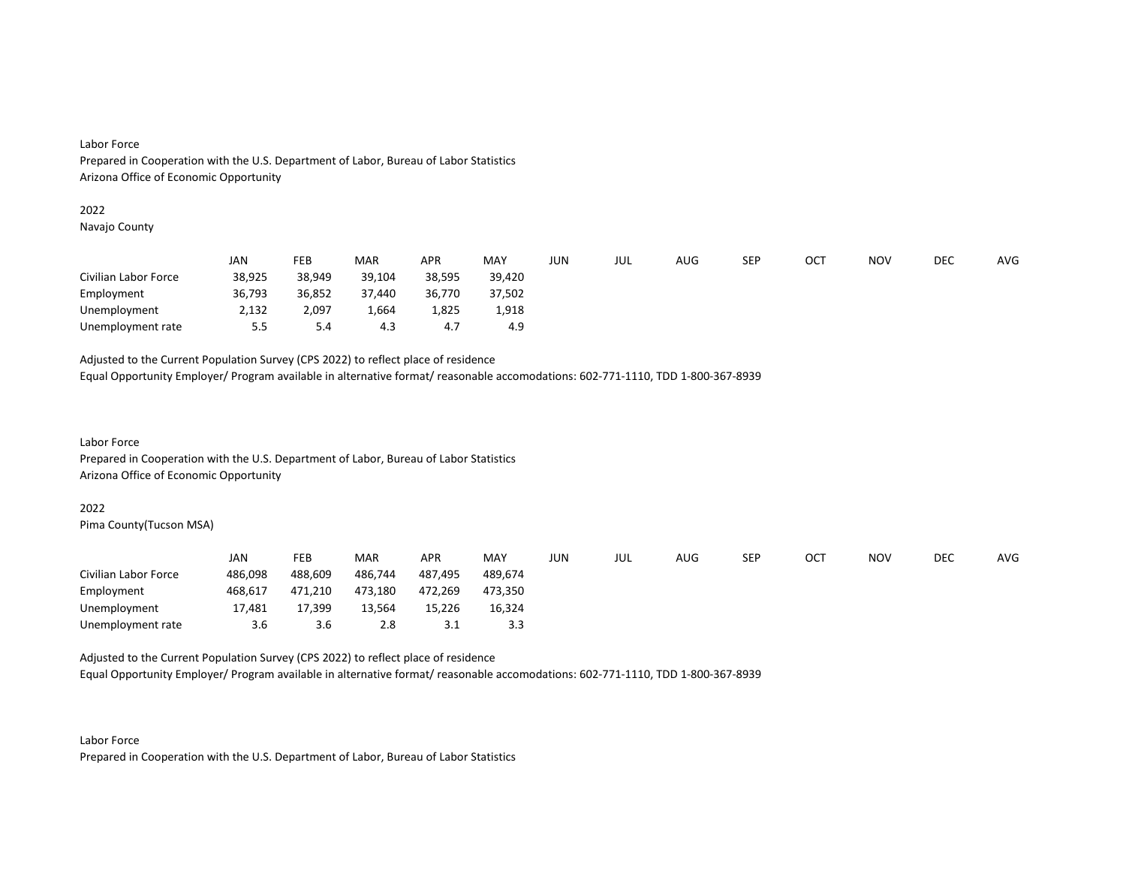#### Labor Force

Prepared in Cooperation with the U.S. Department of Labor, Bureau of Labor Statistics Arizona Office of Economic Opportunity

#### 2022

Navajo County

|                      | JAN    | <b>FEB</b> | <b>MAR</b> | <b>APR</b> | MAY    | JUN | JUL | AUG | <b>SEP</b> | OC <sup>T</sup> | <b>NOV</b> | DEC | AVG |
|----------------------|--------|------------|------------|------------|--------|-----|-----|-----|------------|-----------------|------------|-----|-----|
| Civilian Labor Force | 38,925 | 38,949     | 39,104     | 38,595     | 39.420 |     |     |     |            |                 |            |     |     |
| Employment           | 36,793 | 36,852     | 37,440     | 36,770     | 37,502 |     |     |     |            |                 |            |     |     |
| Unemployment         | 2,132  | 2,097      | 664,ء      | 1,825      | 1,918  |     |     |     |            |                 |            |     |     |
| Unemployment rate    | 5.5    | 5.4        | 4.3        | 4.7        | 4.9    |     |     |     |            |                 |            |     |     |

Adjusted to the Current Population Survey (CPS 2022) to reflect place of residence

Equal Opportunity Employer/ Program available in alternative format/ reasonable accomodations: 602-771-1110, TDD 1-800-367-8939

## Labor Force Prepared in Cooperation with the U.S. Department of Labor, Bureau of Labor Statistics Arizona Office of Economic Opportunity

#### 2022

Pima County(Tucson MSA)

|                      | JAN     | FEB     | <b>MAR</b> | <b>APR</b> | <b>MAY</b> | JUN | jul | AUG | SEP | <b>OCT</b> | <b>NOV</b> | DEC | AVG |
|----------------------|---------|---------|------------|------------|------------|-----|-----|-----|-----|------------|------------|-----|-----|
| Civilian Labor Force | 486,098 | 488,609 | 486,744    | 487.495    | 489.674    |     |     |     |     |            |            |     |     |
| Employment           | 468,617 | 471,210 | 473,180    | 472.269    | 473.350    |     |     |     |     |            |            |     |     |
| Unemployment         | 17,481  | 17,399  | 13,564     | 15,226     | 16,324     |     |     |     |     |            |            |     |     |
| Unemployment rate    | 3.6     | 3.6     | 2.8        | 3.1        | 3.3        |     |     |     |     |            |            |     |     |

Adjusted to the Current Population Survey (CPS 2022) to reflect place of residence

Equal Opportunity Employer/ Program available in alternative format/ reasonable accomodations: 602-771-1110, TDD 1-800-367-8939

Labor Force Prepared in Cooperation with the U.S. Department of Labor, Bureau of Labor Statistics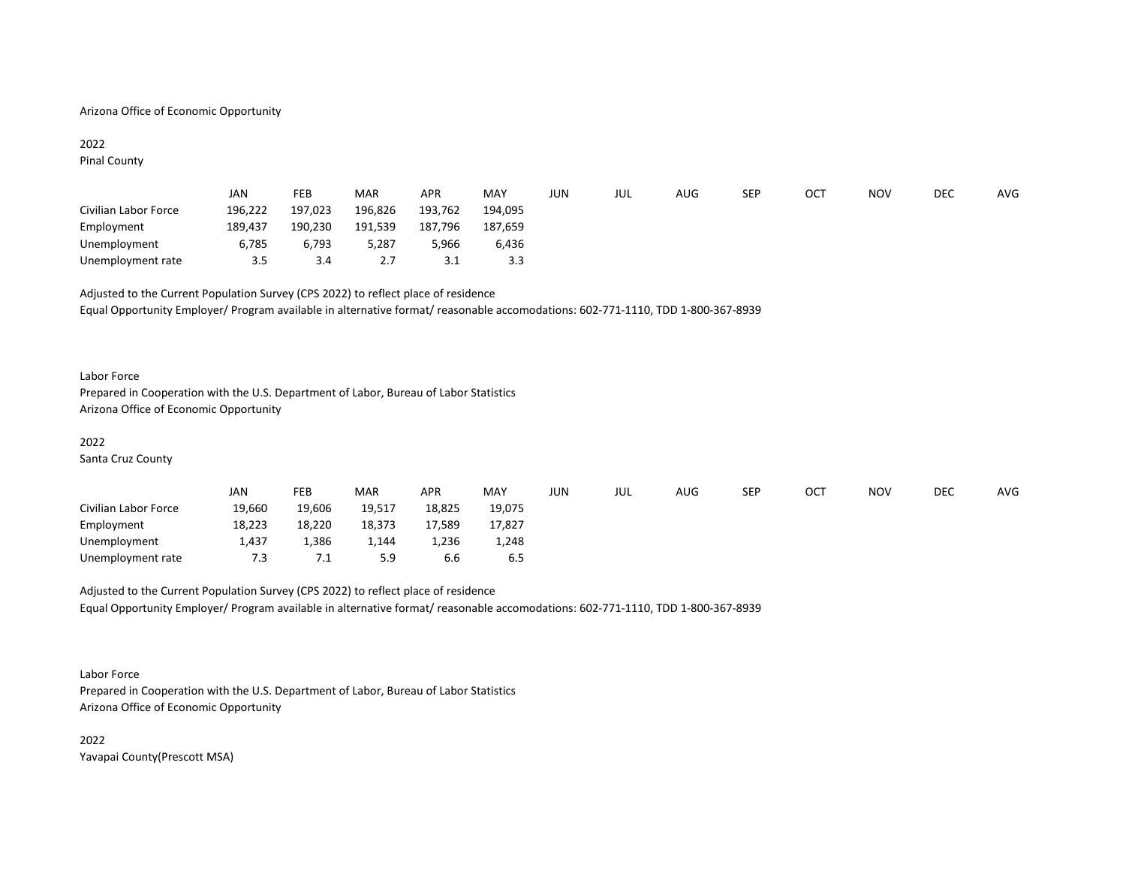#### Arizona Office of Economic Opportunity

## 2022

Pinal County

|                      | JAN     | <b>FEB</b> | <b>MAR</b> | <b>APR</b> | MAY     | JUN | jul | AUG | SEP | OCT | NOV | <b>DEC</b> | AVG |
|----------------------|---------|------------|------------|------------|---------|-----|-----|-----|-----|-----|-----|------------|-----|
| Civilian Labor Force | 196,222 | 197,023    | 196,826    | 193,762    | 194.095 |     |     |     |     |     |     |            |     |
| Employment           | 189,437 | 190,230    | 191,539    | 187.796    | 187.659 |     |     |     |     |     |     |            |     |
| Unemployment         | 6,785   | 6.793      | 5.287      | 5,966      | 6.436   |     |     |     |     |     |     |            |     |
| Unemployment rate    | 3.5     | 3.4        | 2.7        | 3.1        | 3.3     |     |     |     |     |     |     |            |     |

Adjusted to the Current Population Survey (CPS 2022) to reflect place of residence Equal Opportunity Employer/ Program available in alternative format/ reasonable accomodations: 602-771-1110, TDD 1-800-367-8939

#### Labor Force

Prepared in Cooperation with the U.S. Department of Labor, Bureau of Labor Statistics Arizona Office of Economic Opportunity

#### 2022

Santa Cruz County

|                      | JAN    | FEB    | <b>MAR</b> | APR    | MAY    | JUN | JUL | AUG | SEP | ОСТ | <b>NOV</b> | DEC | AVG |
|----------------------|--------|--------|------------|--------|--------|-----|-----|-----|-----|-----|------------|-----|-----|
| Civilian Labor Force | 19,660 | 19,606 | 19,517     | 18,825 | 19,075 |     |     |     |     |     |            |     |     |
| Employment           | 18,223 | 18,220 | 18,373     | 17,589 | 17,827 |     |     |     |     |     |            |     |     |
| Unemployment         | 1,437  | 386،   | 1,144      | ,236   | 1,248  |     |     |     |     |     |            |     |     |
| Unemployment rate    | 7.3    | ـ. /   | 5.9        | 6.6    | 6.5    |     |     |     |     |     |            |     |     |

Adjusted to the Current Population Survey (CPS 2022) to reflect place of residence Equal Opportunity Employer/ Program available in alternative format/ reasonable accomodations: 602-771-1110, TDD 1-800-367-8939

Labor Force Prepared in Cooperation with the U.S. Department of Labor, Bureau of Labor Statistics Arizona Office of Economic Opportunity

2022 Yavapai County(Prescott MSA)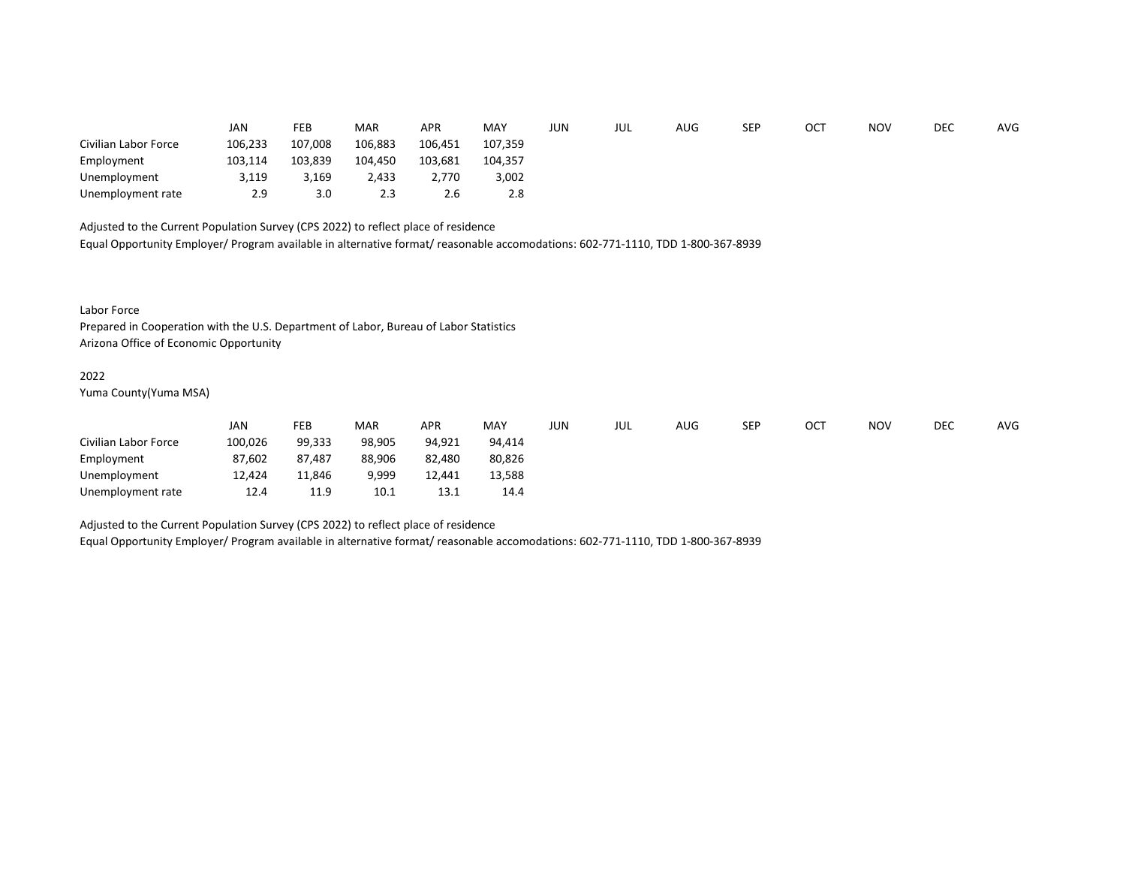|                      | JAN     | <b>FEB</b> | <b>MAR</b> | <b>APR</b> | MAY     | JUN | JUL | AUG | <b>SEP</b> | ОСТ | <b>NOV</b> | DEC | AVG |
|----------------------|---------|------------|------------|------------|---------|-----|-----|-----|------------|-----|------------|-----|-----|
| Civilian Labor Force | 106,233 | 107,008    | 106,883    | 106,451    | 107,359 |     |     |     |            |     |            |     |     |
| Employment           | 103,114 | 103,839    | 104,450    | 103,681    | 104.357 |     |     |     |            |     |            |     |     |
| Unemployment         | 3,119   | 3,169      | 2,433      | 2.770      | 3,002   |     |     |     |            |     |            |     |     |
| Unemployment rate    | 2.9     | 3.0        | 2.3        | 2.6        | 2.8     |     |     |     |            |     |            |     |     |

Equal Opportunity Employer/ Program available in alternative format/ reasonable accomodations: 602-771-1110, TDD 1-800-367-8939

Labor Force

Prepared in Cooperation with the U.S. Department of Labor, Bureau of Labor Statistics Arizona Office of Economic Opportunity

#### 2022

Yuma County(Yuma MSA)

|                      | JAN     | FEB    | <b>MAR</b> | <b>APR</b> | MAY    | jun | JUL | AUG | SEP | ОСТ | <b>NOV</b> | <b>DEC</b> | <b>AVG</b> |
|----------------------|---------|--------|------------|------------|--------|-----|-----|-----|-----|-----|------------|------------|------------|
| Civilian Labor Force | 100,026 | 99,333 | 98,905     | 94,921     | 94.414 |     |     |     |     |     |            |            |            |
| Employment           | 87,602  | 87,487 | 88,906     | 82,480     | 80,826 |     |     |     |     |     |            |            |            |
| Unemployment         | 12,424  | 11,846 | 9,999      | 12,441     | 13,588 |     |     |     |     |     |            |            |            |
| Unemployment rate    | 12.4    | 11.9   | 10.1       | 13.1       | 14.4   |     |     |     |     |     |            |            |            |

Adjusted to the Current Population Survey (CPS 2022) to reflect place of residence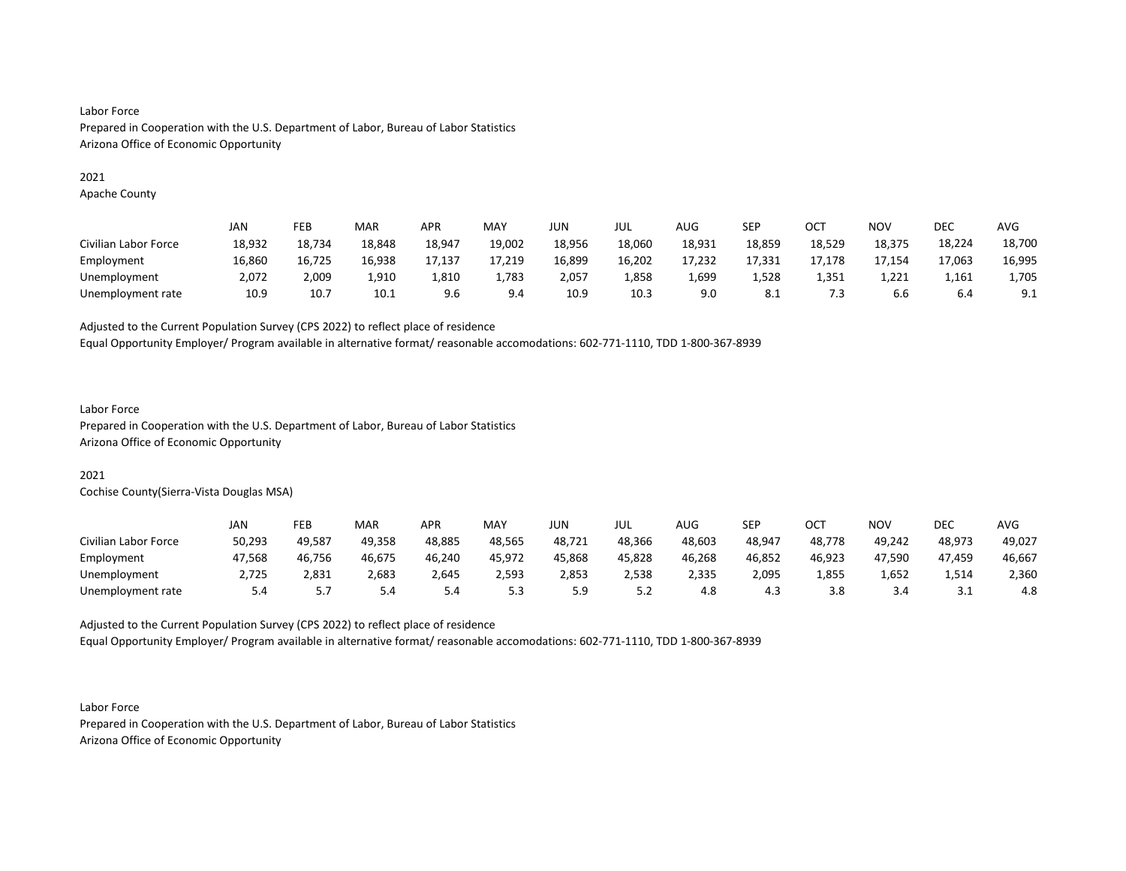## Labor Force Prepared in Cooperation with the U.S. Department of Labor, Bureau of Labor Statistics Arizona Office of Economic Opportunity

#### 2021

Apache County

|                      | JAN    | FEB    | MAR    | <b>APR</b> | MAY    | JUN    | JUL    | <b>AUG</b> | SEP    | OC1    | NOV    | DEC    | AVG    |
|----------------------|--------|--------|--------|------------|--------|--------|--------|------------|--------|--------|--------|--------|--------|
| Civilian Labor Force | 18,932 | 18.734 | 18.848 | 18,947     | 19,002 | 18,956 | 18,060 | 18,931     | 18,859 | 18,529 | 18,375 | 18,224 | 18,700 |
| Employment           | 16,860 | 16.725 | 16.938 | 17,137     | 17.219 | 16,899 | 16,202 | 17.232     | 17.331 | 17.178 | 17.154 | 17.063 | 16,995 |
| Unemployment         | 2,072  | 2,009  | 1,910  | 1,810      | 1,783  | 2,057  | 1,858  | 1,699      | 1,528  | 1,351  | 1,221  | 1,161  | 1,705  |
| Unemployment rate    | 10.9   | 10.7   | 10.1   | 9.6        | 9.4    | 10.9   | 10.3   | 9.0        | 8.1    | 7.3    | 6.6    | 6.4    | 9.1    |

Adjusted to the Current Population Survey (CPS 2022) to reflect place of residence

Equal Opportunity Employer/ Program available in alternative format/ reasonable accomodations: 602-771-1110, TDD 1-800-367-8939

### Labor Force

Prepared in Cooperation with the U.S. Department of Labor, Bureau of Labor Statistics Arizona Office of Economic Opportunity

## 2021

Cochise County(Sierra-Vista Douglas MSA)

|                      | JAN    | FEB    | <b>MAR</b> | APR    | MAY    | JUN    | JUL    | <b>AUG</b> | <b>SEP</b> | ост    | ΝΟν    | <b>DEC</b> | AVG    |
|----------------------|--------|--------|------------|--------|--------|--------|--------|------------|------------|--------|--------|------------|--------|
| Civilian Labor Force | 50,293 | 49,587 | 49.358     | 48,885 | 48,565 | 48,721 | 48,366 | 48,603     | 48,947     | 48,778 | 49.242 | 48,973     | 49,027 |
| Employment           | 47.568 | 46.756 | 46.675     | 46.240 | 45.972 | 45.868 | 45.828 | 46.268     | 46.852     | 46.923 | 47.590 | 47.459     | 46,667 |
| Unemployment         | 2,725  | 2,831  | 2,683      | 2,645  | 2,593  | 2,853  | 2,538  | 2,335      | 2,095      | 1,855  | 1,652  | 1,514      | 2,360  |
| Unemployment rate    | 5.4    | .      | 5.4        | -5.4   | 5.3    | ر.ر    | 5.2    | 4.8        | 4.3        | 3.8    | 3.4    | ــــ       | 4.8    |

Adjusted to the Current Population Survey (CPS 2022) to reflect place of residence

Equal Opportunity Employer/ Program available in alternative format/ reasonable accomodations: 602-771-1110, TDD 1-800-367-8939

Labor Force Prepared in Cooperation with the U.S. Department of Labor, Bureau of Labor Statistics Arizona Office of Economic Opportunity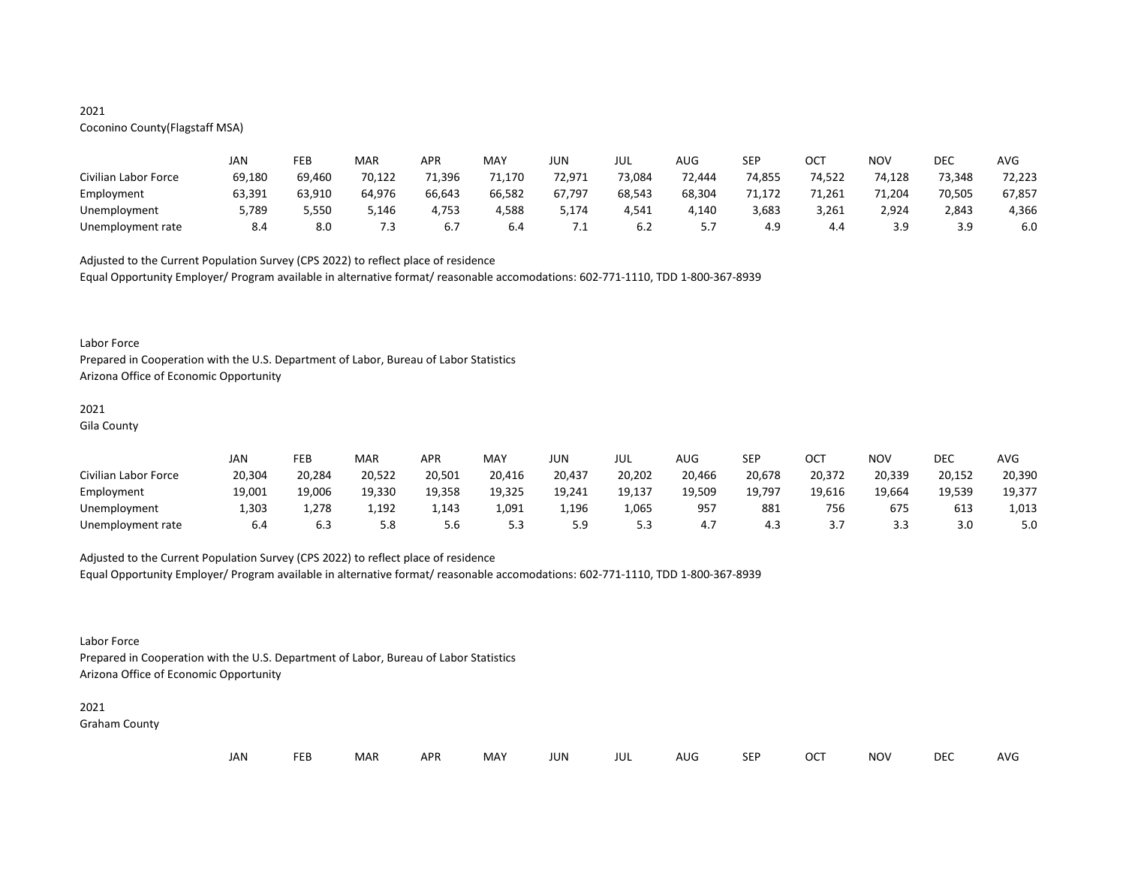### 2021 Coconino County(Flagstaff MSA)

|                      | JAN    | FEB    | MAR    | <b>APR</b> | MAY    | JUN     | JUL    | AUG    | SEP    | OCT    | NOV    | DEC    | AVG    |
|----------------------|--------|--------|--------|------------|--------|---------|--------|--------|--------|--------|--------|--------|--------|
| Civilian Labor Force | 69,180 | 69.460 | 70,122 | 71,396     | 71,170 | 72,971  | 73,084 | 72.444 | 74,855 | 74,522 | 74,128 | 73,348 | 72,223 |
| Employment           | 63.391 | 63.910 | 64.976 | 66.643     | 66.582 | 67.797  | 68.543 | 68.304 | 71.172 | 71.261 | 71.204 | 70.505 | 67,857 |
| Unemployment         | 5,789  | 5,550  | 5,146  | 4,753      | 4,588  | 5,174   | 4,541  | 4.140  | 3,683  | 3,261  | 2,924  | 2,843  | 4,366  |
| Unemployment rate    | 8.4    | 8.0    | 7.3    | 6.7        | 6.4    | $\cdot$ | 6.2    |        | 4.9    | 4.4    | 3.9    | 3.9    | 6.0    |

Adjusted to the Current Population Survey (CPS 2022) to reflect place of residence Equal Opportunity Employer/ Program available in alternative format/ reasonable accomodations: 602-771-1110, TDD 1-800-367-8939

#### Labor Force

Prepared in Cooperation with the U.S. Department of Labor, Bureau of Labor Statistics Arizona Office of Economic Opportunity

## 2021

Gila County

|                      | JAN    | FEB    | <b>MAR</b> | APR    | MAY    | JUN    | JUL    | AUG    | SEP    | ост    | NO\    | <b>DEC</b> | <b>AVG</b> |
|----------------------|--------|--------|------------|--------|--------|--------|--------|--------|--------|--------|--------|------------|------------|
| Civilian Labor Force | 20,304 | 20.284 | 20,522     | 20.501 | 20,416 | 20.437 | 20.202 | 20,466 | 20.678 | 20,372 | 20.339 | 20,152     | 20,390     |
| Employment           | 19,001 | 19,006 | 19,330     | 19,358 | 19,325 | 19,241 | 19,137 | 19,509 | 19,797 | 19,616 | 19.664 | 19,539     | 19,377     |
| Unemployment         | 1,303  | 1,278  | 1,192      | 1,143  | 1,091  | 1,196  | 1,065  | 957    | 881    | 756    | 675    | 613        | 1,013      |
| Unemployment rate    | 6.4    | 6.3    | 5.8        | 5.6    | 5.3    | 5 Q    | 5.3    |        | 4.3    |        | 3.3    | 3.0        | 5.0        |

Adjusted to the Current Population Survey (CPS 2022) to reflect place of residence Equal Opportunity Employer/ Program available in alternative format/ reasonable accomodations: 602-771-1110, TDD 1-800-367-8939

Labor Force

Prepared in Cooperation with the U.S. Department of Labor, Bureau of Labor Statistics Arizona Office of Economic Opportunity

# 2021

Graham County

|  | JAN | <b>FEB</b> | MAR س |  | APR MAY | JUN | JUL | AUG | <b>SEP</b> | <b>OCT</b> | <b>NOV</b> | <b>DEC</b> | AVG |
|--|-----|------------|-------|--|---------|-----|-----|-----|------------|------------|------------|------------|-----|
|--|-----|------------|-------|--|---------|-----|-----|-----|------------|------------|------------|------------|-----|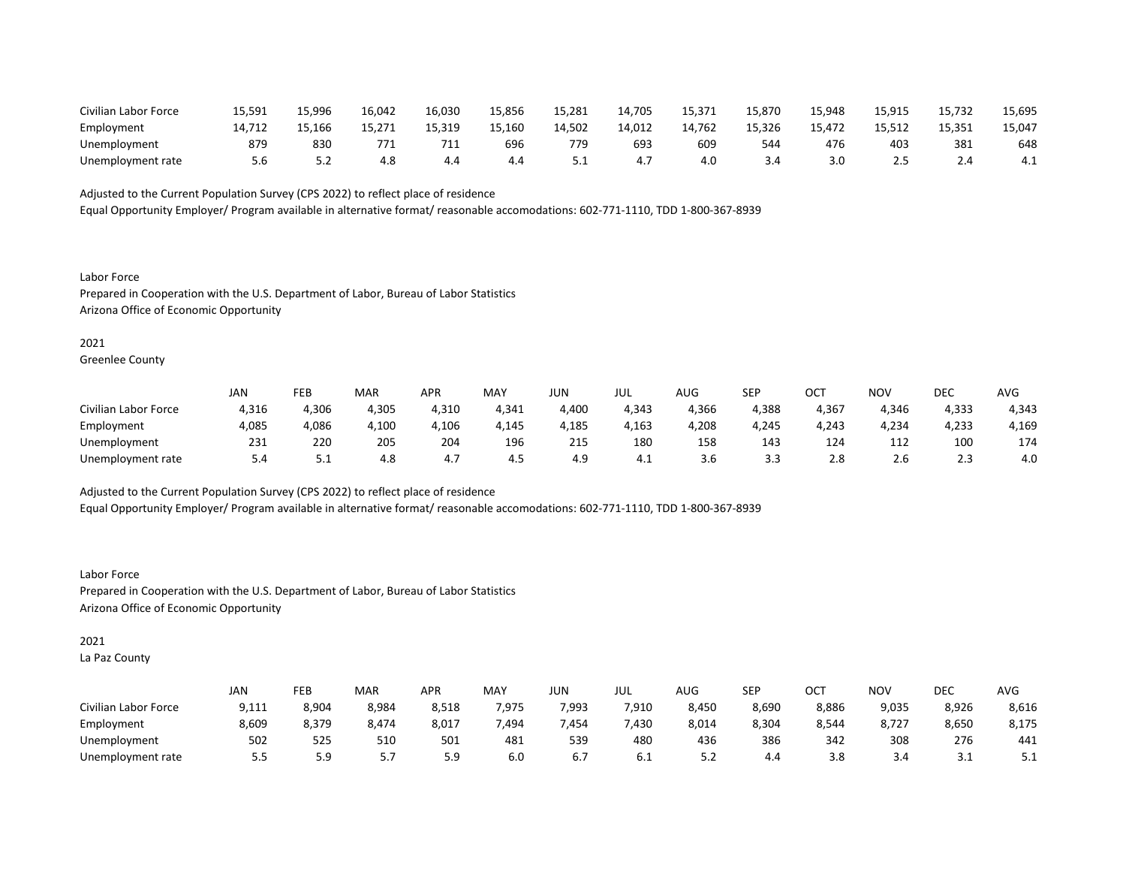| Civilian Labor Force | 15.591 | 15.996 | 16.042 | 16.030 | 15.856 | 15,281 | 14.705 | 15.371 | 15.870 | 15.948 | 15.915 | 15.732     | 15,695 |
|----------------------|--------|--------|--------|--------|--------|--------|--------|--------|--------|--------|--------|------------|--------|
| Employment           | 14,712 | 15,166 | 15,271 | 15,319 | 15,160 | 14,502 | 14,012 | 14,762 | 15,326 | 15,472 | 15.512 | 15,351     | 15,047 |
| Unemployment         | 879    | 830    | 771    | 711    | 696    | 779    | 693    | 609    | 544    | 476    | 403    | 381        | 648    |
| Unemployment rate    | ს.ხ    | ے . د  | 4.8    | 4.4    | 4.4    | ـ . ـ  |        | 4.0    |        | 3.0    | 2.5    | <b>2.4</b> | 4.1    |

Equal Opportunity Employer/ Program available in alternative format/ reasonable accomodations: 602-771-1110, TDD 1-800-367-8939

Labor Force Prepared in Cooperation with the U.S. Department of Labor, Bureau of Labor Statistics Arizona Office of Economic Opportunity

## 2021

Greenlee County

|                      | JAN   | FEB   | MAR   | APR   | MAY   | JUN   | JUL   | AUG   | SEP   | ост   | NOV   | <b>DEC</b> | AVG   |
|----------------------|-------|-------|-------|-------|-------|-------|-------|-------|-------|-------|-------|------------|-------|
| Civilian Labor Force | 4,316 | 4.306 | 4,305 | 4,310 | 4.341 | 4.400 | 4,343 | 4.366 | 4.388 | 4.367 | 4.346 | 4.333      | 4.343 |
| Employment           | 4,085 | 4,086 | 4,100 | 4,106 | 4,145 | 4,185 | 4,163 | 4,208 | 4,245 | 4,243 | 4,234 | 4,233      | 4,169 |
| Unemployment         | 231   | 220   | 205   | 204   | 196   | 215   | 180   | 158   | 143   | 124   | 112   | 100        | 174   |
| Unemployment rate    | 5.4   | ـ . ـ | 4.8   | 4.1   | 4.5   | 4.9   | 4.1   | 3.b   | 3.3   | 2.8   | Z.b   | 2.3        | 4.0   |

Adjusted to the Current Population Survey (CPS 2022) to reflect place of residence Equal Opportunity Employer/ Program available in alternative format/ reasonable accomodations: 602-771-1110, TDD 1-800-367-8939

Labor Force Prepared in Cooperation with the U.S. Department of Labor, Bureau of Labor Statistics Arizona Office of Economic Opportunity

#### 2021

La Paz County

|                      | JAN    | FEB           | MAR   | <b>APR</b> | MAY   | JUN   | JUL   | AUG   | <b>SEP</b> | ОСТ   | <b>NOV</b> | DEC   | <b>AVG</b> |
|----------------------|--------|---------------|-------|------------|-------|-------|-------|-------|------------|-------|------------|-------|------------|
| Civilian Labor Force | 9,111  | 8,904         | 8,984 | 8,518      | 7.975 | 7.993 | 7,910 | 8.450 | 8,690      | 8,886 | 9,035      | 8,926 | 8,616      |
| Employment           | 8,609  | 8,379         | 8,474 | 8,017      | 7,494 | 7,454 | 7,430 | 8,014 | 8,304      | 8,544 | 8,727      | 8,650 | 8,175      |
| Unemployment         | 502    | 525           | 510   | 501        | 481   | 539   | 480   | 436   | 386        | 342   | 308        | 276   | 441        |
| Unemployment rate    | 55<br> | 59<br><b></b> | ر . د | 59<br>ت. ب | 6.0   | 6.7   | 6.1   | ے.د   | 4.4        | 3.8   | 3.4        | ـ . ـ | ۰.۱        |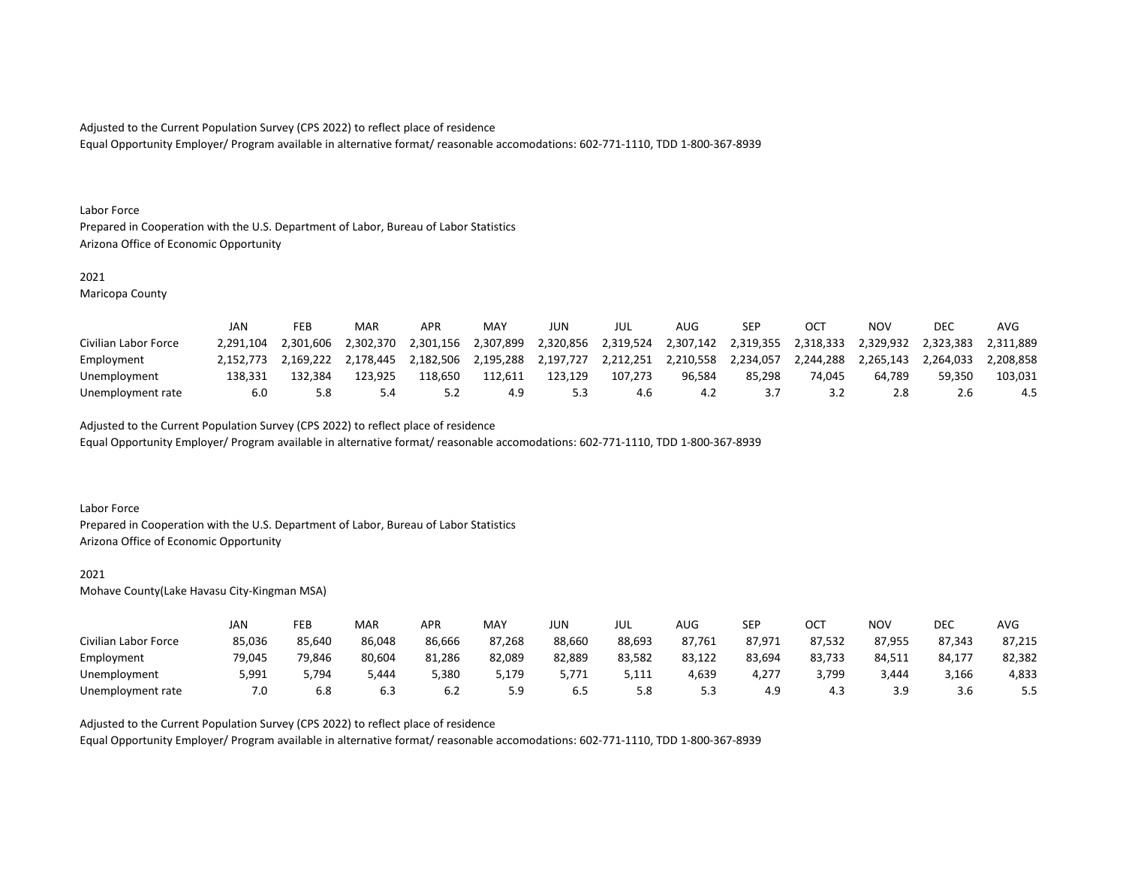Equal Opportunity Employer/ Program available in alternative format/ reasonable accomodations: 602-771-1110, TDD 1-800-367-8939

#### Labor Force

Prepared in Cooperation with the U.S. Department of Labor, Bureau of Labor Statistics Arizona Office of Economic Opportunity

#### 2021

Maricopa County

|                      | JAN       | FEB       | MAR       | <b>APR</b> | MAY       | JUN       | JUL       | AUG       | SEP       | OCT       | NOV       | <b>DEC</b> | AVG       |
|----------------------|-----------|-----------|-----------|------------|-----------|-----------|-----------|-----------|-----------|-----------|-----------|------------|-----------|
| Civilian Labor Force | 2.291.104 | 2.301.606 | 2.302.370 | 2.301.156  | 2.307.899 | 2.320.856 | 2.319.524 | 2.307.142 | 2.319.355 | 2.318.333 | 2.329.932 | 2.323.383  | 2.311.889 |
| Employment           | 2.152.773 | 2.169.222 | 2.178.445 | 2.182.506  | 2,195,288 | 2,197,727 | 2,212,251 | 2,210,558 | 2,234,057 | 2.244.288 | 2.265.143 | 2.264.033  | 2.208.858 |
| Unemployment         | 138.331   | 132.384   | 123.925   | 118.650    | 112.611   | 123.129   | 107.273   | 96.584    | 85.298    | 74.045    | 64.789    | 59.350     | 103,031   |
| Unemployment rate    | 6.0       | 5.8       | 5.4       |            | 4.9       |           | 4.6       | 4.2       |           |           | 2.8       |            | 4.5       |

Adjusted to the Current Population Survey (CPS 2022) to reflect place of residence

Equal Opportunity Employer/ Program available in alternative format/ reasonable accomodations: 602-771-1110, TDD 1-800-367-8939

#### Labor Force

Prepared in Cooperation with the U.S. Department of Labor, Bureau of Labor Statistics Arizona Office of Economic Opportunity

#### 2021

Mohave County(Lake Havasu City-Kingman MSA)

|                      | JAN    | FEB    | MAR    | APR    | MAY    | JUN    | JUL    | AUG    | SEP    | ост    | NOV    | DEC    | AVG    |
|----------------------|--------|--------|--------|--------|--------|--------|--------|--------|--------|--------|--------|--------|--------|
| Civilian Labor Force | 85,036 | 85.640 | 86,048 | 86.666 | 87.268 | 88.660 | 88,693 | 87.761 | 87.971 | 87.532 | 87.955 | 87.343 | 87.215 |
| Employment           | 79.045 | 79,846 | 80,604 | 81,286 | 82,089 | 82,889 | 83,582 | 83,122 | 83.694 | 83,733 | 84.511 | 84,177 | 82,382 |
| Unemployment         | 5,991  | 5.794  | 5.444  | 5,380  | 5,179  | 5.771  | 5,111  | 4,639  | 4,277  | 3,799  | 3.444  | 3,166  | 4,833  |
| Unemployment rate    | 7.0    | 6.8    | 6.3    | 6.2    | 5.9    | 6.5    | 5.8    | ر.ر    | 4.9    | 4.3    | 3.9    | 3.b    | ر…     |

Adjusted to the Current Population Survey (CPS 2022) to reflect place of residence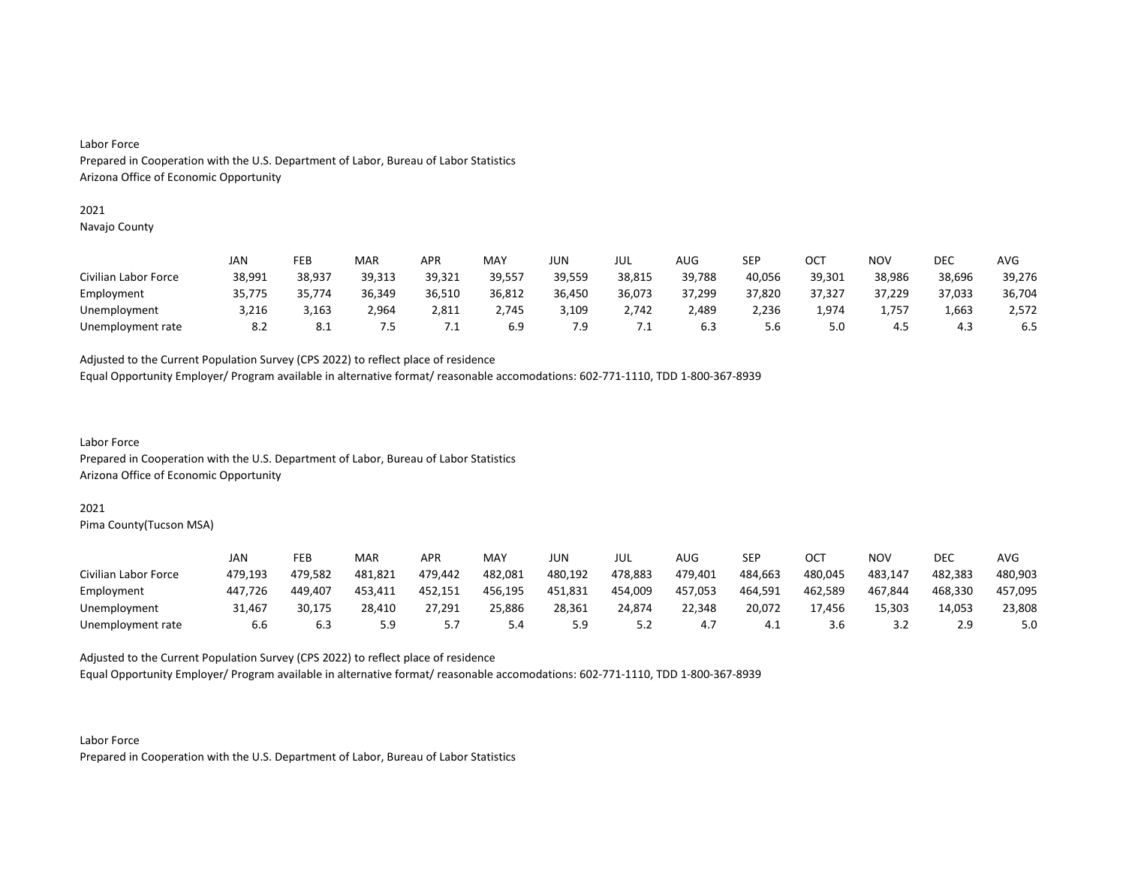#### Labor Force

Prepared in Cooperation with the U.S. Department of Labor, Bureau of Labor Statistics Arizona Office of Economic Opportunity

#### 2021

Navajo County

|                      | JAN    | FEB    | MAR    | <b>APR</b> | MAY    | JUN    | JUL    | <b>AUG</b> | SEP    | ост    | NOV    | DEC    | AVG    |
|----------------------|--------|--------|--------|------------|--------|--------|--------|------------|--------|--------|--------|--------|--------|
| Civilian Labor Force | 38,991 | 38.937 | 39.313 | 39,321     | 39,557 | 39.559 | 38,815 | 39,788     | 40,056 | 39,301 | 38.986 | 38,696 | 39,276 |
| Employment           | 35,775 | 35.774 | 36,349 | 36,510     | 36,812 | 36,450 | 36,073 | 37,299     | 37,820 | 37,327 | 37,229 | 37,033 | 36,704 |
| Unemployment         | 3.216  | 3,163  | 2.964  | 2,811      | 2,745  | 3.109  | 2.742  | 2.489      | 2.236  | 1.974  | 1,757  | 1,663  | 2,572  |
| Unemployment rate    | 8.2    | 8.1    | ט.     | 7.⊥        | 6.9    | 7.9    | ـــ    | 6.3        | 5.6    | 5.0    | 4.5    | 4.3    | 6.5    |

Adjusted to the Current Population Survey (CPS 2022) to reflect place of residence

Equal Opportunity Employer/ Program available in alternative format/ reasonable accomodations: 602-771-1110, TDD 1-800-367-8939

Labor Force Prepared in Cooperation with the U.S. Department of Labor, Bureau of Labor Statistics Arizona Office of Economic Opportunity

#### 2021

Pima County(Tucson MSA)

|                      | JAN     | FEB     | MAR     | APR     | MAY     | JUN     | JUL     | AUG     | SEP     | OCT     | NOV     | DEC     | AVG     |
|----------------------|---------|---------|---------|---------|---------|---------|---------|---------|---------|---------|---------|---------|---------|
| Civilian Labor Force | 479.193 | 479.582 | 481.821 | 479.442 | 482,081 | 480.192 | 478.883 | 479.401 | 484,663 | 480.045 | 483,147 | 482.383 | 480,903 |
| Employment           | 447.726 | 449.407 | 453.411 | 452.151 | 456.195 | 451.831 | 454,009 | 457.053 | 464.591 | 462.589 | 467.844 | 468.330 | 457,095 |
| Unemployment         | 31.467  | 30.175  | 28,410  | 27,291  | 25,886  | 28,361  | 24.874  | 22.348  | 20,072  | 17.456  | 15,303  | 14,053  | 23,808  |
| Unemployment rate    | 6.6     | 6.3     | 5.9     |         | 5.4     | 5.9     | 5.2     | 4.,     | 4.1     |         | ے . د   | 2.9     | 5.0     |

Adjusted to the Current Population Survey (CPS 2022) to reflect place of residence

Equal Opportunity Employer/ Program available in alternative format/ reasonable accomodations: 602-771-1110, TDD 1-800-367-8939

Labor Force Prepared in Cooperation with the U.S. Department of Labor, Bureau of Labor Statistics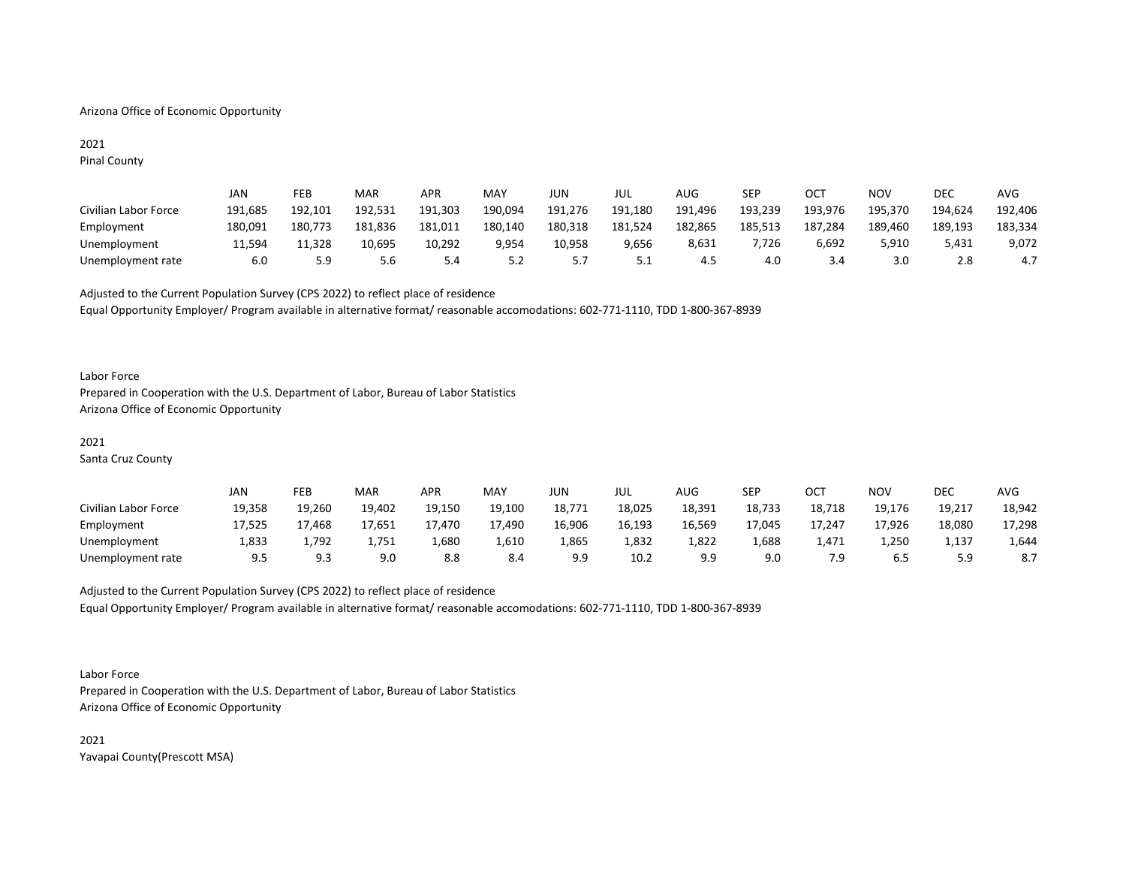#### Arizona Office of Economic Opportunity

# 2021

Pinal County

|                      | JAN     | FEB     | MAR     | <b>APR</b> | MAY     | JUN     | JUL     | AUG     | SEP     | OCT     | NOV     | DEC     | AVG     |
|----------------------|---------|---------|---------|------------|---------|---------|---------|---------|---------|---------|---------|---------|---------|
| Civilian Labor Force | 191.685 | 192.101 | 192.531 | 191.303    | 190,094 | 191.276 | 191,180 | 191.496 | 193,239 | 193,976 | 195,370 | 194.624 | 192,406 |
| Employment           | 180.091 | 180.773 | 181.836 | 181.011    | 180.140 | 180.318 | 181,524 | 182,865 | 185,513 | 187.284 | 189.460 | 189.193 | 183,334 |
| Unemployment         | 11.594  | 11.328  | 10,695  | 10.292     | 9,954   | 10,958  | 9,656   | 8,631   | 7,726   | 6,692   | 5,910   | 5.431   | 9,072   |
| Unemployment rate    | 6.0     | 5.9     | 5.6     | 5.4        | 5.2     |         | 5.1     | 4.5     | 4.0     |         | 3.0     | 2.8     | 4.7     |

Adjusted to the Current Population Survey (CPS 2022) to reflect place of residence Equal Opportunity Employer/ Program available in alternative format/ reasonable accomodations: 602-771-1110, TDD 1-800-367-8939

#### Labor Force

Prepared in Cooperation with the U.S. Department of Labor, Bureau of Labor Statistics Arizona Office of Economic Opportunity

#### 2021

Santa Cruz County

|                      | JAN    | FEB         | <b>MAR</b> | APR    | MA۱    | JUN    | JUL    | <b>AUG</b> | <b>SEP</b> | OCT    | ΝΟν    | DEC    | AVG    |
|----------------------|--------|-------------|------------|--------|--------|--------|--------|------------|------------|--------|--------|--------|--------|
| Civilian Labor Force | 19,358 | 19.260      | 19.402     | 19.150 | 19.100 | 18,771 | 18,025 | 18,391     | 18,733     | 18,718 | 19.176 | 19,217 | 18,942 |
| Employment           | 17.525 | 17.468      | 17.651     | 17.470 | 17.490 | 16.906 | 16.193 | 16.569     | 17.045     | 17.247 | 17.926 | 18,080 | 17,298 |
| Unemployment         | 1,833  | 1,792       | 1,751      | 1,680  | 1,610  | 1,865  | 1,832  | 1,822      | 1,688      | 1.471  | 1,250  | 1,137  | 1,644  |
| Unemployment rate    | 9.5    | a a<br>د. ت | 9.0        | 8.8    | 8.4    | 9.9    | 10.2   | 9.9        | 9.0        |        | 6.5    |        | 8.7    |

Adjusted to the Current Population Survey (CPS 2022) to reflect place of residence

Equal Opportunity Employer/ Program available in alternative format/ reasonable accomodations: 602-771-1110, TDD 1-800-367-8939

Labor Force Prepared in Cooperation with the U.S. Department of Labor, Bureau of Labor Statistics Arizona Office of Economic Opportunity

2021 Yavapai County(Prescott MSA)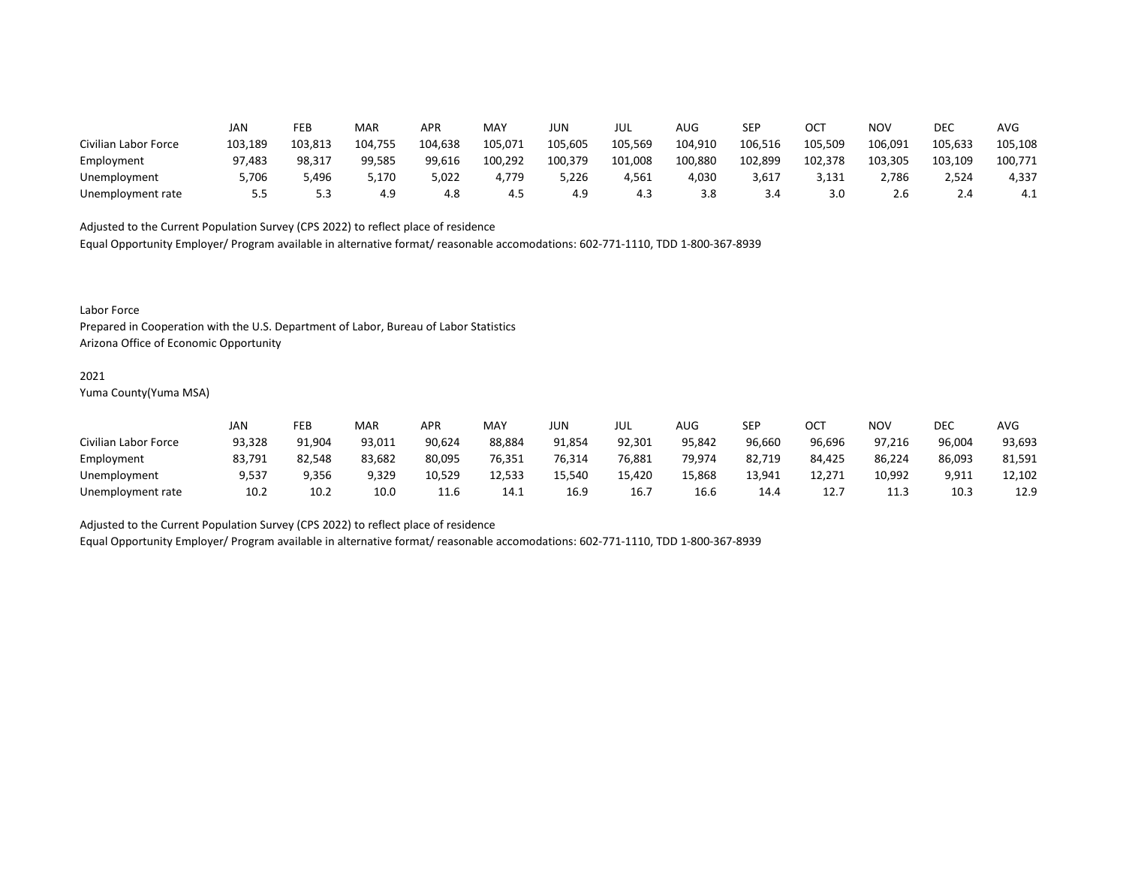|                      | JAN     | FEB     | MAR     | <b>APR</b> | MAY     | JUN     | jul     | AUG     | SEP     | OCT     | NOV     | DEC        | AVG     |
|----------------------|---------|---------|---------|------------|---------|---------|---------|---------|---------|---------|---------|------------|---------|
| Civilian Labor Force | 103,189 | 103.813 | 104.755 | 104,638    | 105,071 | 105,605 | 105,569 | 104,910 | 106,516 | 105.509 | 106,091 | 105,633    | 105,108 |
| Employment           | 97.483  | 98.317  | 99,585  | 99,616     | 100,292 | 100,379 | 101,008 | 100,880 | 102,899 | 102,378 | 103,305 | 103,109    | 100,771 |
| Unemployment         | 5.706   | 5.496   | 5.170   | 5,022      | 4.779   | 5,226   | 4.561   | 4.030   | 3,617   | 3,131   | 2.786   | 2,524      | 4,337   |
| Unemployment rate    | 5.5     |         | 4.9     | 4.8        | 4.5     | 4.9     | 4.3     | 3.8     | 3.4     | 3.0     | 2.6     | <b>2.4</b> | 4.⊥     |

Equal Opportunity Employer/ Program available in alternative format/ reasonable accomodations: 602-771-1110, TDD 1-800-367-8939

Labor Force

Prepared in Cooperation with the U.S. Department of Labor, Bureau of Labor Statistics Arizona Office of Economic Opportunity

#### 2021

Yuma County(Yuma MSA)

|                      | JAN    | FEB    | MAR    | APR    | MAY    | JUN    | JUL    | AUG    | SEP    | OCT    | <b>NOV</b> | <b>DEC</b> | AVG    |
|----------------------|--------|--------|--------|--------|--------|--------|--------|--------|--------|--------|------------|------------|--------|
| Civilian Labor Force | 93,328 | 91.904 | 93.011 | 90.624 | 88.884 | 91.854 | 92.301 | 95.842 | 96.660 | 96.696 | 97.216     | 96.004     | 93,693 |
| Employment           | 83,791 | 82.548 | 83,682 | 80,095 | 76,351 | 76,314 | 76,881 | 79,974 | 82,719 | 84,425 | 86,224     | 86,093     | 81,591 |
| Unemployment         | 9,537  | 9,356  | 9,329  | 10.529 | 12,533 | 15.540 | 15.420 | 15.868 | 13.941 | 12.271 | 10.992     | 9,911      | 12.102 |
| Unemployment rate    | 10.2   | 10.2   | 10.0   | 11.6   | 14.1   | 16.9   | 16.7   | 16.6   | 14.4   | 12.7   | 11.3       | 10.3       | 12.9   |

Adjusted to the Current Population Survey (CPS 2022) to reflect place of residence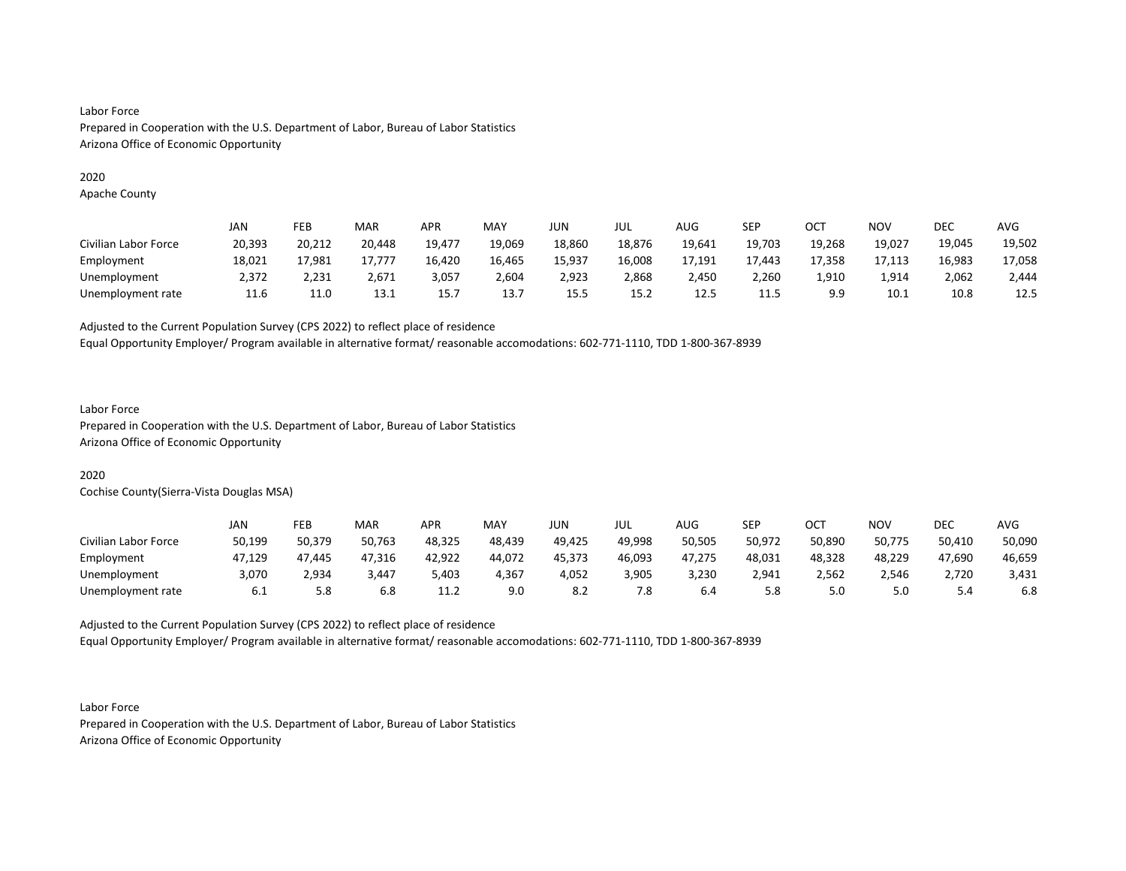## Labor Force Prepared in Cooperation with the U.S. Department of Labor, Bureau of Labor Statistics Arizona Office of Economic Opportunity

#### 2020

Apache County

|                      | JAN    | FEB    | MAR    | APR    | MAY    | <b>JUN</b> | JUL    | AUG    | SEP    | OCT    | ΝΟν    | DEC    | <b>AVG</b> |
|----------------------|--------|--------|--------|--------|--------|------------|--------|--------|--------|--------|--------|--------|------------|
| Civilian Labor Force | 20,393 | 20,212 | 20,448 | 19,477 | 19,069 | 18,860     | 18,876 | 19,641 | 19,703 | 19,268 | 19,027 | 19,045 | 19,502     |
| Employment           | 18,021 | 17,981 | 17.777 | 16,420 | 16,465 | 15,937     | 16,008 | 17,191 | 17.443 | 17,358 | 17,113 | 16,983 | 17,058     |
| Unemployment         | 2.372  | 2.231  | 2.671  | 3,057  | 2.604  | 2,923      | 2,868  | 2.450  | 2,260  | 1,910  | 1.914  | 2.062  | 2.444      |
| Unemployment rate    | 11.6   | 11.0   | 13.1   | 15.7   | 13.7   | 15.5       | 15.2   | 12.5   | 11.5   | 9.9    | 10.1   | 10.8   | 12.5       |

Adjusted to the Current Population Survey (CPS 2022) to reflect place of residence

Equal Opportunity Employer/ Program available in alternative format/ reasonable accomodations: 602-771-1110, TDD 1-800-367-8939

## Labor Force

Prepared in Cooperation with the U.S. Department of Labor, Bureau of Labor Statistics Arizona Office of Economic Opportunity

### 2020

Cochise County(Sierra-Vista Douglas MSA)

|                      | JAN    | FEB    | MAR    | <b>APR</b> | MAY    | JUN    | JUL    | AUG    | SEP    | ост    | NOV    | DEC    | <b>AVG</b> |
|----------------------|--------|--------|--------|------------|--------|--------|--------|--------|--------|--------|--------|--------|------------|
| Civilian Labor Force | 50,199 | 50.379 | 50,763 | 48,325     | 48,439 | 49,425 | 49.998 | 50,505 | 50,972 | 50,890 | 50,775 | 50,410 | 50,090     |
| Employment           | 47.129 | 47.445 | 47.316 | 42.922     | 44.072 | 45.373 | 46.093 | 47.275 | 48.031 | 48.328 | 48.229 | 47.690 | 46,659     |
| Unemployment         | 3,070  | 2,934  | 3,447  | 5,403      | 4,367  | 4,052  | 3,905  | 3,230  | 2,941  | 2,562  | 2,546  | 2,720  | 3,431      |
| Unemployment rate    | 6.1    | 5.8    | 6.8    | 11.2       | 9.0    | 8.2    | 7.8    | 6.4    | 5.8    | 5.0    | 5.0    | 4.ر    | 6.8        |

Adjusted to the Current Population Survey (CPS 2022) to reflect place of residence

Equal Opportunity Employer/ Program available in alternative format/ reasonable accomodations: 602-771-1110, TDD 1-800-367-8939

Labor Force Prepared in Cooperation with the U.S. Department of Labor, Bureau of Labor Statistics Arizona Office of Economic Opportunity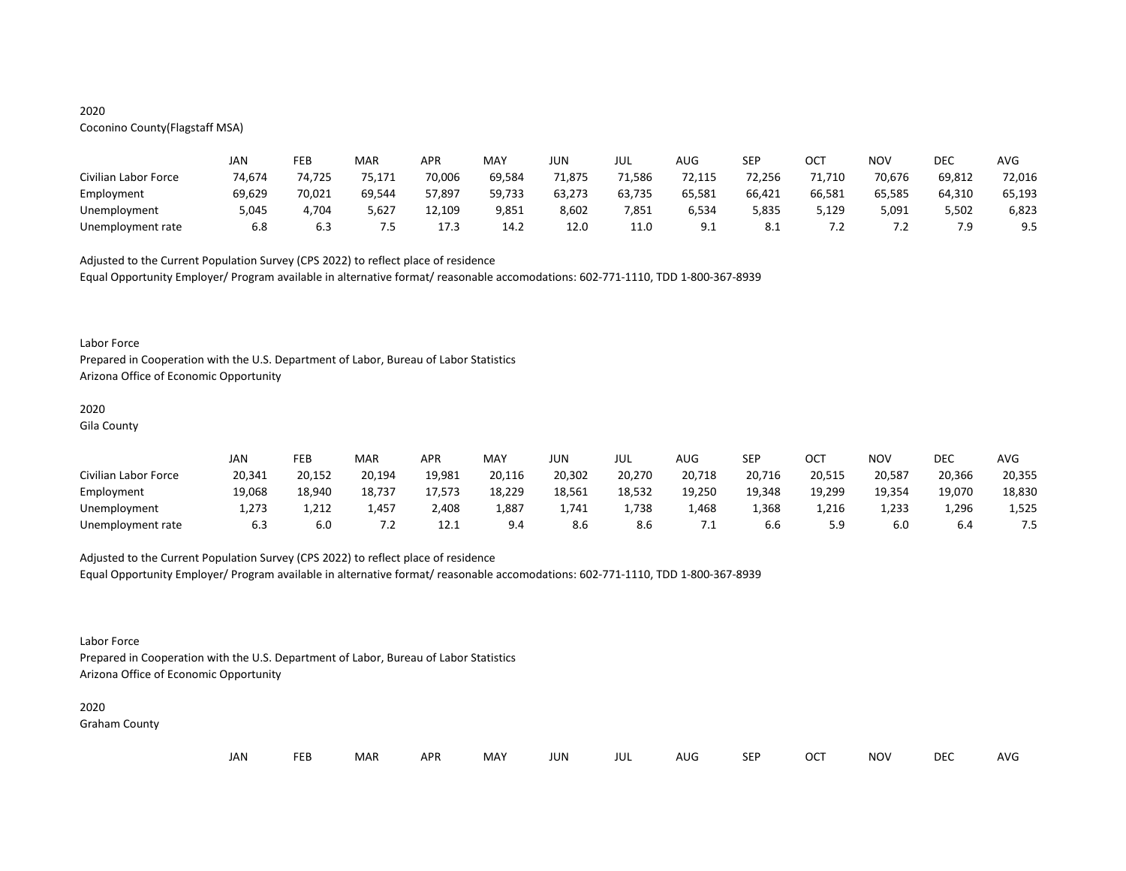## 2020

## Coconino County(Flagstaff MSA)

|                      | JAN    | FEB    | MAR    | <b>APR</b> | MAY    | JUN    | JUL    | AUG                   | <b>SEP</b> | ост    | <b>NOV</b> | DEC    | <b>AVG</b> |
|----------------------|--------|--------|--------|------------|--------|--------|--------|-----------------------|------------|--------|------------|--------|------------|
| Civilian Labor Force | 74.674 | 74.725 | 75,171 | 70,006     | 69,584 | 71,875 | 71,586 | 72,115                | 72,256     | 11,710 | 70.676     | 69,812 | 72,016     |
| Employment           | 69.629 | 70.021 | 69,544 | 57.897     | 59,733 | 63,273 | 63,735 | 65,581                | 66,421     | 66.581 | 65.585     | 64.310 | 65,193     |
| Unemployment         | 5,045  | 4.704  | 5,627  | 12,109     | 9,851  | 8,602  | 7,851  | 6,534                 | 5,835      | 5,129  | 5,091      | 5,502  | 6,823      |
| Unemployment rate    | 6.8    | 6.3    | 7.5    | 17.3       | 14.2   | 12.0   | 11.0   | Q <sub>1</sub><br>ے ت | 8.1        | ے ،    | . . 2      | 7.9    | 9.5        |

Adjusted to the Current Population Survey (CPS 2022) to reflect place of residence Equal Opportunity Employer/ Program available in alternative format/ reasonable accomodations: 602-771-1110, TDD 1-800-367-8939

#### Labor Force

Prepared in Cooperation with the U.S. Department of Labor, Bureau of Labor Statistics Arizona Office of Economic Opportunity

## 2020

Gila County

|                      | JAN    | FEB    | <b>MAR</b> | APR    | MAY    | JUN    | JUL    | AUG    | SEP    | OCT    | NO\    | <b>DEC</b> | <b>AVG</b> |
|----------------------|--------|--------|------------|--------|--------|--------|--------|--------|--------|--------|--------|------------|------------|
| Civilian Labor Force | 20,341 | 20.152 | 20,194     | 19,981 | 20,116 | 20.302 | 20,270 | 20,718 | 20,716 | 20,515 | 20.587 | 20,366     | 20,355     |
| Employment           | 19,068 | 18.940 | 18,737     | 17,573 | 18,229 | 18,561 | 18,532 | 19,250 | 19,348 | 19,299 | 19,354 | 19,070     | 18,830     |
| Unemployment         | 1.273  | 1,212  | 1,457      | 2,408  | 1,887  | 1.741  | 1,738  | 1,468  | 1,368  | 1,216  | 1,233  | 1,296      | 1,525      |
| Unemployment rate    | 6.3    | 6.0    | ے ،        | 12.1   | 9.4    | 8.6    | 8.6    | ـ .    | 6.b    | 5.9    | 6.0    | 6.4        | ر.,        |

Adjusted to the Current Population Survey (CPS 2022) to reflect place of residence Equal Opportunity Employer/ Program available in alternative format/ reasonable accomodations: 602-771-1110, TDD 1-800-367-8939

Labor Force

Prepared in Cooperation with the U.S. Department of Labor, Bureau of Labor Statistics Arizona Office of Economic Opportunity

#### 2020 Graham County

| JAN | FEB | MAR | <b>APR</b> | MAY | <b>JUN</b> | JUL | AUG | SEP | <b>OCT</b> | <b>NOV</b> | <b>DEC</b> | <b>AVG</b> |
|-----|-----|-----|------------|-----|------------|-----|-----|-----|------------|------------|------------|------------|
|     |     |     |            |     |            |     |     |     |            |            |            |            |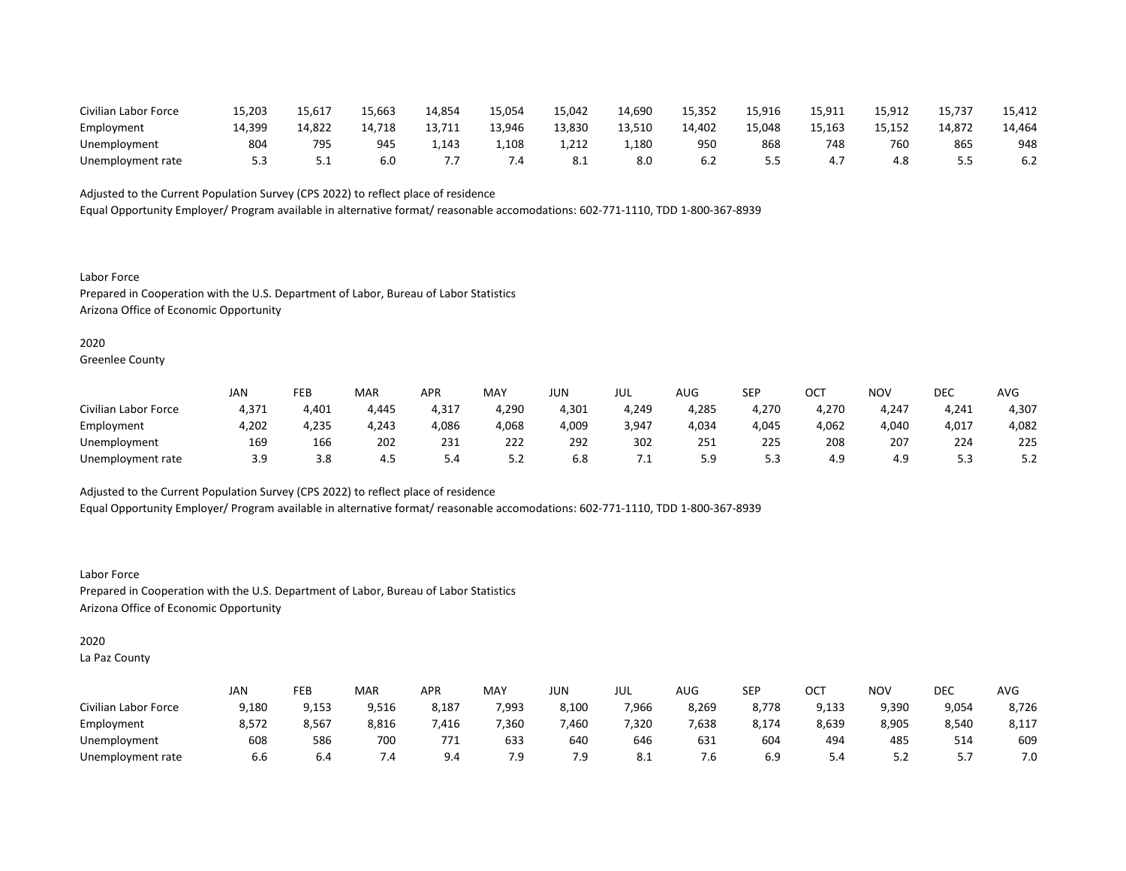| Civilian Labor Force | 15,203 | 15,617 | 15,663 | 14,854 | 15,054 | 15,042 | 14,690 | 15,352 | 15,916     | 15,911 | 15,912 | 15,737 | 15,412 |
|----------------------|--------|--------|--------|--------|--------|--------|--------|--------|------------|--------|--------|--------|--------|
| Employment           | 14.399 | 14.822 | 14.718 | 13.711 | 13.946 | 13.830 | 13.510 | 14.402 | 15.048     | 15.163 | 15.152 | 14.872 | 14.464 |
| Unemployment         | 804    | 795    | 945    | 1,143  | 1,108  | 1,212  | 1,180  | 950    | 868        | 748    | 760    | 865    | 948    |
| Unemployment rate    |        | ـ . ـ  | 6.0    | . .    | ٠.     | ð. 1   | 8.0    |        | - -<br>ر.ر | 4.,    | 4.8    |        | 6.2    |

Equal Opportunity Employer/ Program available in alternative format/ reasonable accomodations: 602-771-1110, TDD 1-800-367-8939

Labor Force Prepared in Cooperation with the U.S. Department of Labor, Bureau of Labor Statistics Arizona Office of Economic Opportunity

### 2020

Greenlee County

|                      | JAN   | FEB   | MAR   | APR   | MAY   | JUN   | JUL   | AUG          | SEP   | ост   | NOV   | <b>DEC</b> | AVG   |
|----------------------|-------|-------|-------|-------|-------|-------|-------|--------------|-------|-------|-------|------------|-------|
| Civilian Labor Force | 4,371 | 4,401 | 4.445 | 4,317 | 4.290 | 4,301 | 4.249 | 4.285        | 4.270 | 4.270 | 4.247 | 4,241      | 4,307 |
| Employment           | 4,202 | 4,235 | 4,243 | 4,086 | 4,068 | 4,009 | 3,947 | 4,034        | 4,045 | 4,062 | 4,040 | 4,017      | 4,082 |
| Unemployment         | 169   | 166   | 202   | 231   | 222   | 292   | 302   | 251          | 225   | 208   | 207   | 224        | 225   |
| Unemployment rate    | 3.9   | 3.8   | 4.5   | 5.4   | 5.2   | 6.8   |       | г. α<br>ت. ب | 5.3   | 4.9   | 4.9   | ں ، ب      | ے.د   |

Adjusted to the Current Population Survey (CPS 2022) to reflect place of residence Equal Opportunity Employer/ Program available in alternative format/ reasonable accomodations: 602-771-1110, TDD 1-800-367-8939

Labor Force Prepared in Cooperation with the U.S. Department of Labor, Bureau of Labor Statistics Arizona Office of Economic Opportunity

#### 2020

La Paz County

|                      | <b>JAN</b> | FEB   | MAR   | APR   | MAY   | JUN   | JUL   | AUG   | SEP   | OCT   | NOV   | DEC   | <b>AVG</b> |
|----------------------|------------|-------|-------|-------|-------|-------|-------|-------|-------|-------|-------|-------|------------|
| Civilian Labor Force | 9,180      | 9,153 | 9,516 | 8,187 | 7,993 | 8.100 | 7,966 | 8,269 | 8.778 | 9.133 | 9,390 | 9,054 | 8,726      |
| Employment           | 8,572      | 8,567 | 8,816 | 416,  | 7,360 | 460,  | 7,320 | 7,638 | 8,174 | 8,639 | 8,905 | 8,540 | 8,117      |
| Unemployment         | 608        | 586   | 700   | 771   | 633   | 640   | 646   | 631   | 604   | 494   | 485   | 514   | 609        |
| Unemployment rate    | 6.6        | b.4   | 4.    | 9.4   | 7.9   | 7.9   | 8.1   | ′.б   | 6.9   | 5.4   | 5.2   | .     | 7.0        |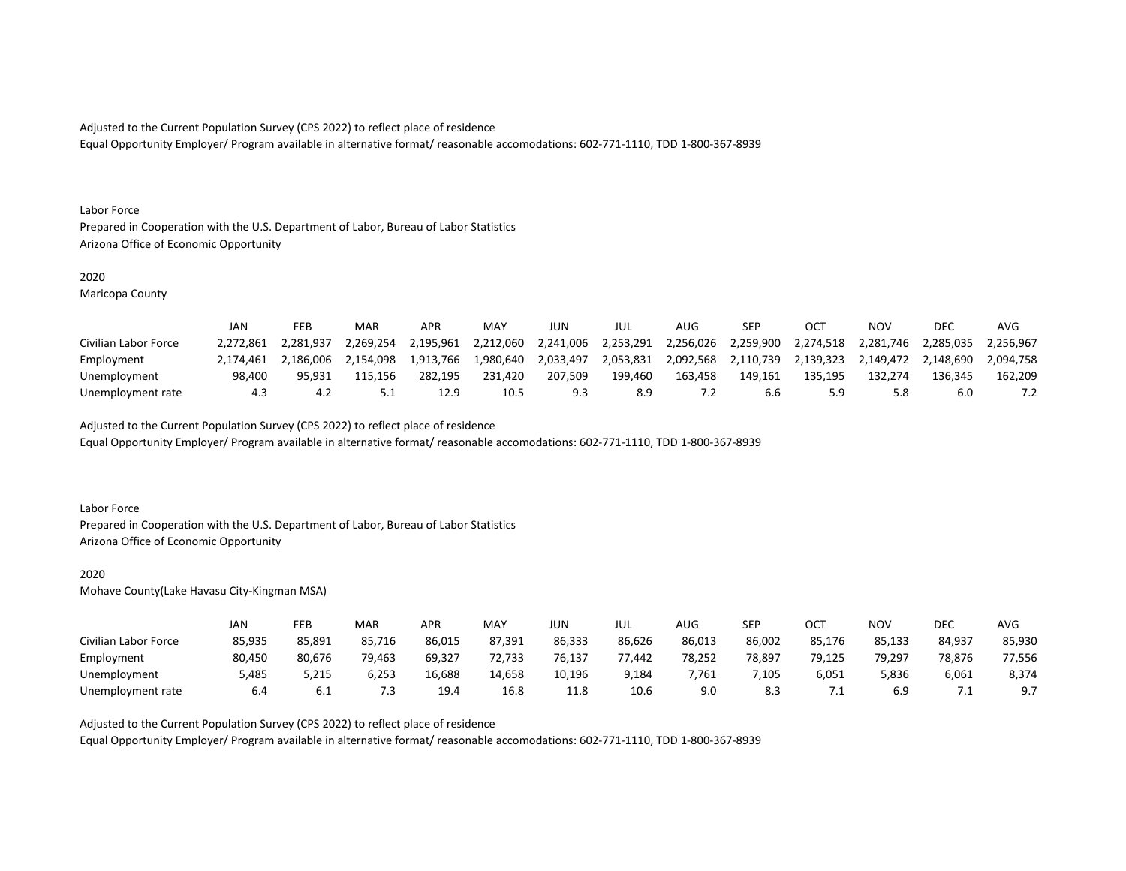Equal Opportunity Employer/ Program available in alternative format/ reasonable accomodations: 602-771-1110, TDD 1-800-367-8939

#### Labor Force

Prepared in Cooperation with the U.S. Department of Labor, Bureau of Labor Statistics Arizona Office of Economic Opportunity

#### 2020

Maricopa County

|                      | JAN       | FEB       | MAR       | <b>APR</b>       | MAY       | JUN       | JUL       | AUG       | SEP       | OCT       | NOV       | <b>DEC</b> | AVG       |
|----------------------|-----------|-----------|-----------|------------------|-----------|-----------|-----------|-----------|-----------|-----------|-----------|------------|-----------|
| Civilian Labor Force | 2.272.861 | 2.281.937 | 2.269.254 | 2.195.961        | 2.212.060 | 2,241,006 | 2.253.291 | 2.256.026 | 2.259.900 | 2.274.518 | 2.281.746 | 2.285.035  | 2.256.967 |
| Employment           | 2.174.461 | 2.186.006 | 2.154.098 | 1,913,766        | 1.980.640 | 2,033,497 | 2,053,831 | 2.092.568 | 2,110,739 | 2.139.323 | 2.149.472 | 2.148.690  | 2.094.758 |
| Unemployment         | 98.400    | 95.931    | 115.156   | 282.195          | 231.420   | 207.509   | 199.460   | 163.458   | 149.161   | 135.195   | 132.274   | 136.345    | 162.209   |
| Unemployment rate    | 4.3       |           |           | 12. <sup>o</sup> | 10.5      |           | 8.9       |           | 6.6       |           | 5.8       | 6.0        |           |

Adjusted to the Current Population Survey (CPS 2022) to reflect place of residence

Equal Opportunity Employer/ Program available in alternative format/ reasonable accomodations: 602-771-1110, TDD 1-800-367-8939

#### Labor Force

Prepared in Cooperation with the U.S. Department of Labor, Bureau of Labor Statistics Arizona Office of Economic Opportunity

#### 2020

Mohave County(Lake Havasu City-Kingman MSA)

|                      | JAN    | FEB    | MAR    | APR    | <b>MAY</b> | JUN    | JUL    | AUG    | SEP    | ост    | NOV    | <b>DEC</b> | <b>AVG</b>     |
|----------------------|--------|--------|--------|--------|------------|--------|--------|--------|--------|--------|--------|------------|----------------|
| Civilian Labor Force | 85,935 | 85,891 | 85,716 | 86,015 | 87.391     | 86,333 | 86,626 | 86,013 | 86.002 | 85,176 | 85,133 | 84,937     | 85,930         |
| Employment           | 80.450 | 80.676 | 79,463 | 69.327 | 72,733     | 76.137 | 77.442 | 78.252 | 78.897 | 79.125 | 79.297 | 78,876     | 77,556         |
| Unemployment         | 5,485  | 5,215  | 6,253  | 16,688 | 14,658     | 10.196 | 9,184  | 7.761  | ,105   | 6,051  | 5,836  | 6,061      | 8,374          |
| Unemployment rate    | 6.4    | 6.I    | 7.3    | 19.4   | 16.8       | 11.8   | 10.6   | 9.0    | 8.3    | . .    | 6.9    | . .        | Q <sub>7</sub> |

Adjusted to the Current Population Survey (CPS 2022) to reflect place of residence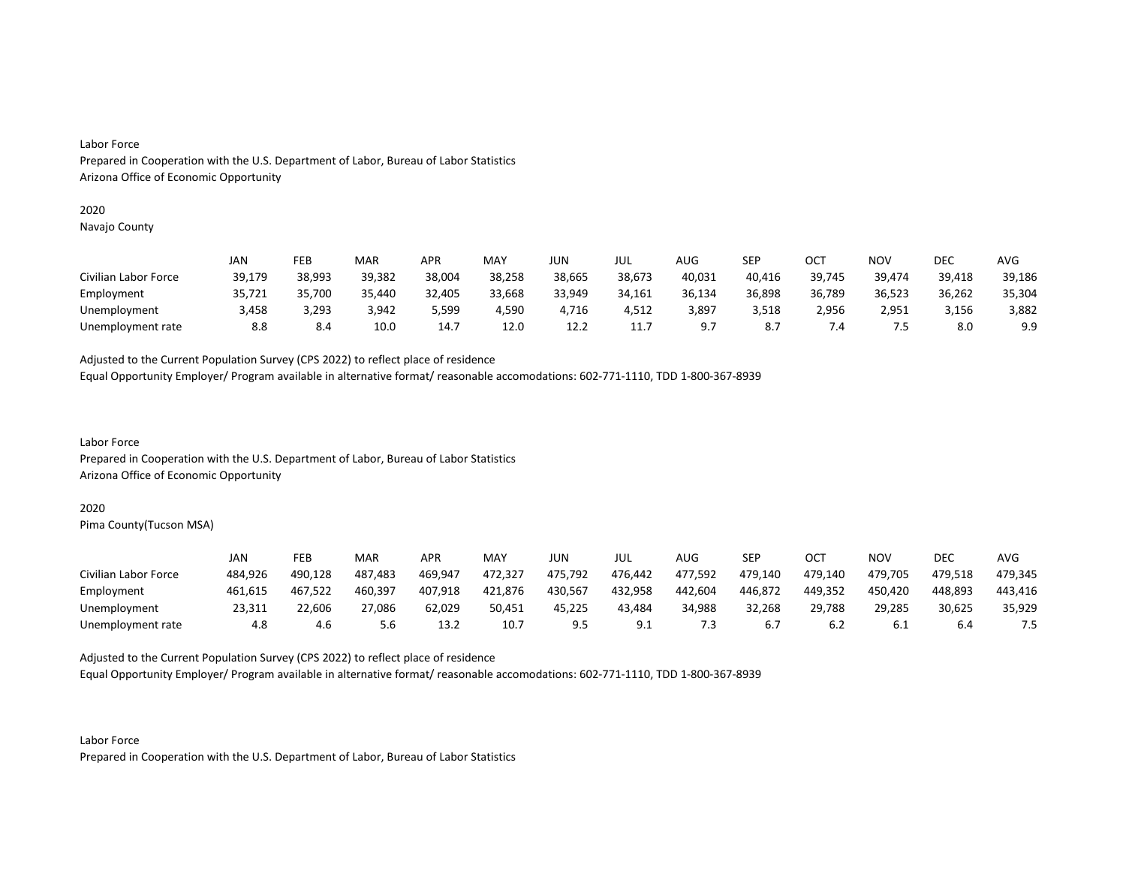#### Labor Force

Prepared in Cooperation with the U.S. Department of Labor, Bureau of Labor Statistics Arizona Office of Economic Opportunity

#### 2020

Navajo County

|                      | JAN    | FEB    | MAR    | <b>APR</b> | MAY    | JUN    | JUL    | <b>AUG</b> | SEP    | ОСТ    | NOV    | DEC    | AVG    |
|----------------------|--------|--------|--------|------------|--------|--------|--------|------------|--------|--------|--------|--------|--------|
| Civilian Labor Force | 39,179 | 38.993 | 39.382 | 38.004     | 38.258 | 38.665 | 38,673 | 40,031     | 40,416 | 39,745 | 39,474 | 39,418 | 39,186 |
| Employment           | 35,721 | 35,700 | 35,440 | 32,405     | 33,668 | 33.949 | 34,161 | 36,134     | 36,898 | 36,789 | 36,523 | 36,262 | 35,304 |
| Unemployment         | 3,458  | 3,293  | 3.942  | 5,599      | 4,590  | 4.716  | 4.512  | 3,897      | 3,518  | 2.956  | 2,951  | 3,156  | 3,882  |
| Unemployment rate    | 8.8    | 8.4    | 10.0   | 14.7       | 12.0   | 12.2   | 11.7   | - a        | 8.7    | 7.4    | ر.,    | 8.0    | 9.9    |

Adjusted to the Current Population Survey (CPS 2022) to reflect place of residence

Equal Opportunity Employer/ Program available in alternative format/ reasonable accomodations: 602-771-1110, TDD 1-800-367-8939

Labor Force Prepared in Cooperation with the U.S. Department of Labor, Bureau of Labor Statistics Arizona Office of Economic Opportunity

#### 2020

Pima County(Tucson MSA)

|                      | JAN     | FEB     | MAR     | APR     | MAY     | JUN     | JUL     | AUG     | SEP     | OCT     | NOV     | <b>DEC</b> | <b>AVG</b> |
|----------------------|---------|---------|---------|---------|---------|---------|---------|---------|---------|---------|---------|------------|------------|
| Civilian Labor Force | 484.926 | 490.128 | 487.483 | 469.947 | 472.327 | 475.792 | 476.442 | 477.592 | 479.140 | 479.140 | 479.705 | 479.518    | 479.345    |
| Employment           | 461.615 | 467.522 | 460,397 | 407,918 | 421,876 | 430.567 | 432,958 | 442.604 | 446.872 | 449.352 | 450,420 | 448.893    | 443,416    |
| Unemployment         | 23,311  | 22.606  | 27,086  | 62.029  | 50,451  | 45.225  | 43.484  | 34.988  | 32,268  | 29.788  | 29,285  | 30,625     | 35,929     |
| Unemployment rate    | 4.8     | 4.6     | 5.6     | 13.2    | 10.7    | 9.5     | 9.1     | 7.3     | 6.7     | 6.2     | 6.1     | 6.4        |            |

Adjusted to the Current Population Survey (CPS 2022) to reflect place of residence

Equal Opportunity Employer/ Program available in alternative format/ reasonable accomodations: 602-771-1110, TDD 1-800-367-8939

Labor Force Prepared in Cooperation with the U.S. Department of Labor, Bureau of Labor Statistics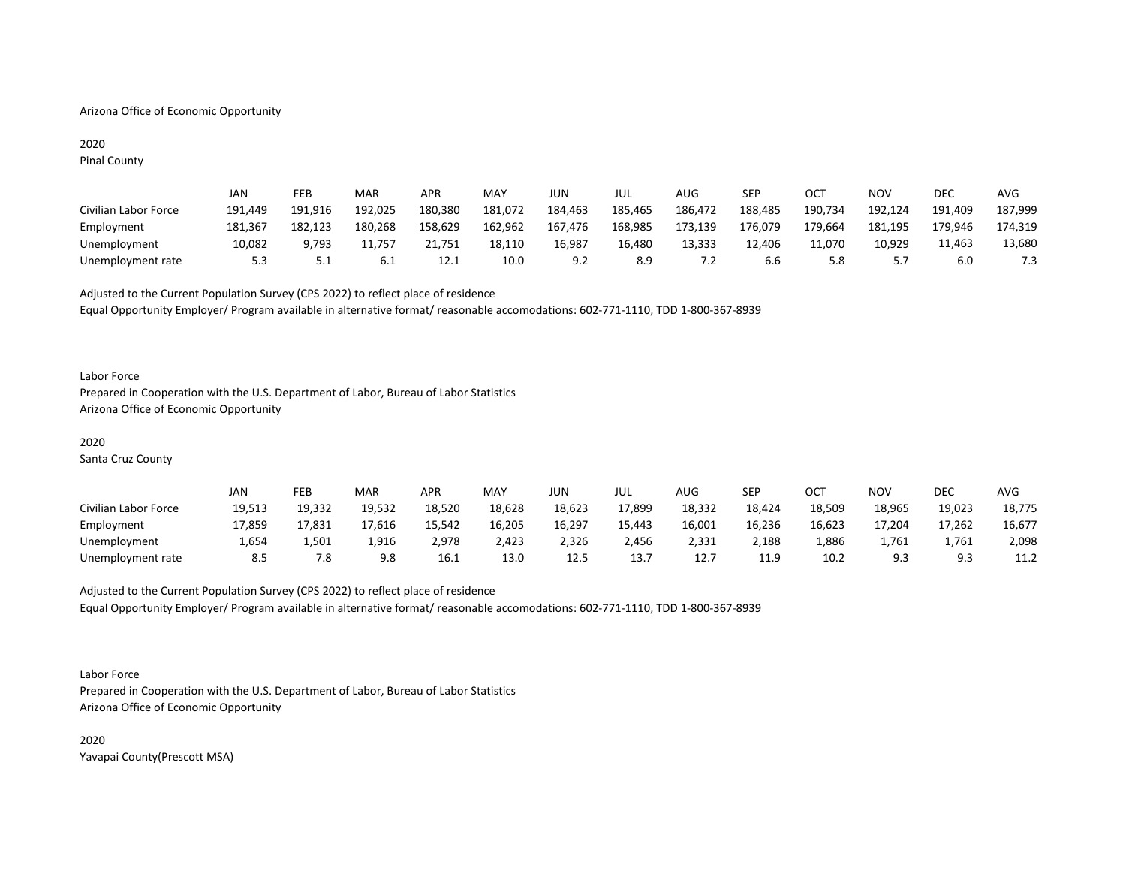#### Arizona Office of Economic Opportunity

## 2020

Pinal County

|                      | JAN     | FEB     | MAR     | <b>APR</b> | MAY     | JUN     | JUL     | AUG     | SEP     | OCT     | NOV     | DEC     | AVG     |
|----------------------|---------|---------|---------|------------|---------|---------|---------|---------|---------|---------|---------|---------|---------|
| Civilian Labor Force | 191.449 | 191.916 | 192.025 | 180.380    | 181,072 | 184.463 | 185,465 | 186,472 | 188,485 | 190,734 | 192,124 | 191.409 | 187,999 |
| Employment           | 181.367 | 182.123 | 180.268 | 158.629    | 162,962 | 167.476 | 168.985 | 173.139 | 176.079 | 179.664 | 181,195 | 179.946 | 174,319 |
| Unemployment         | 10,082  | 9,793   | 11.757  | 21.751     | 18,110  | 16.987  | 16.480  | 13,333  | 12.406  | 11.070  | 10,929  | 11.463  | 13,680  |
| Unemployment rate    | 5.3     | 5.1     | 6.1     | 12.1       | 10.0    | 9.2     | 8.9     | 7.2     | 6.6     | 5.8     | 5.7     | 6.0     | 7.3     |

Adjusted to the Current Population Survey (CPS 2022) to reflect place of residence Equal Opportunity Employer/ Program available in alternative format/ reasonable accomodations: 602-771-1110, TDD 1-800-367-8939

#### Labor Force

Prepared in Cooperation with the U.S. Department of Labor, Bureau of Labor Statistics Arizona Office of Economic Opportunity

#### 2020

Santa Cruz County

|                      | JAN    | FEB    | MAR    | <b>APR</b> | MAY    | JUN    | JUL    | AUG    | <b>SEP</b> | OC <sup>T</sup> | ΝΟν    | <b>DEC</b> | AVG    |
|----------------------|--------|--------|--------|------------|--------|--------|--------|--------|------------|-----------------|--------|------------|--------|
| Civilian Labor Force | 19,513 | 19,332 | 19.532 | 18,520     | 18,628 | 18,623 | 17,899 | 18,332 | 18,424     | 18,509          | 18,965 | 19,023     | 18,775 |
| Employment           | 17.859 | 17.831 | 17.616 | 15.542     | 16,205 | 16,297 | 15,443 | 16,001 | 16.236     | 16,623          | 17.204 | 17.262     | 16,677 |
| Unemployment         | 1,654  | 1,501  | 1,916  | 2,978      | 2,423  | 2,326  | 2,456  | 2,331  | 2,188      | 1,886           | 1,761  | 1.761      | 2,098  |
| Unemployment rate    | 8.5    | 7.8    | 9.8    | 16.1       | 13.0   | 12.5   | 13.7   | 12.    | 11.9       | 10.2            | 9.3    |            | 11.2   |

Adjusted to the Current Population Survey (CPS 2022) to reflect place of residence

Equal Opportunity Employer/ Program available in alternative format/ reasonable accomodations: 602-771-1110, TDD 1-800-367-8939

Labor Force Prepared in Cooperation with the U.S. Department of Labor, Bureau of Labor Statistics Arizona Office of Economic Opportunity

2020 Yavapai County(Prescott MSA)